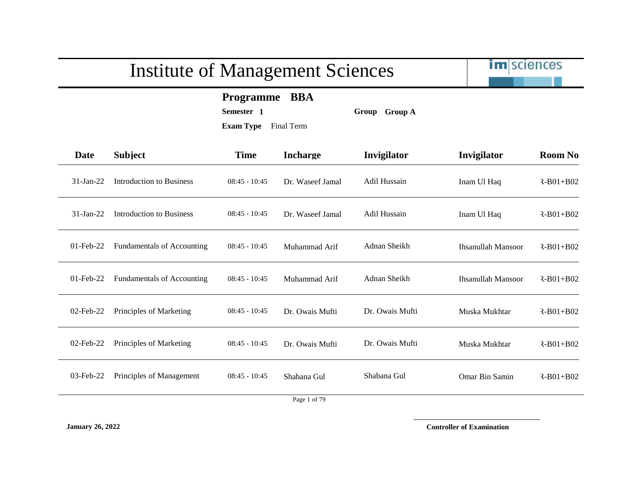im sciences

**Programme BBA**

**Semester 1 Group Group A**

**Exam Type** Final Term

| Date         | <b>Subject</b>                    | <b>Time</b>     | <b>Incharge</b>      | Invigilator     | Invigilator               | <b>Room No</b>  |
|--------------|-----------------------------------|-----------------|----------------------|-----------------|---------------------------|-----------------|
| $31-Ian-22$  | Introduction to Business          | $08:45 - 10:45$ | Dr. Waseef Jamal     | Adil Hussain    | Inam Ul Haq               | $R-B01+B02$     |
| $31-Ian-22$  | Introduction to Business          | $08:45 - 10:45$ | Dr. Waseef Jamal     | Adil Hussain    | Inam Ul Haq               | $R-B01+B02$     |
| $01$ -Feb-22 | <b>Fundamentals of Accounting</b> | $08:45 - 10:45$ | Muhammad Arif        | Adnan Sheikh    | <b>Ihsanullah Mansoor</b> | $R-B01+B02$     |
| $01$ -Feb-22 | <b>Fundamentals of Accounting</b> | $08:45 - 10:45$ | Muhammad Arif        | Adnan Sheikh    | <b>Ihsanullah Mansoor</b> | $R-B01+B02$     |
| $02$ -Feb-22 | Principles of Marketing           | $08:45 - 10:45$ | Dr. Owais Mufti      | Dr. Owais Mufti | Muska Mukhtar             | $R - B01 + B02$ |
| 02-Feb-22    | Principles of Marketing           | $08:45 - 10:45$ | Dr. Owais Mufti      | Dr. Owais Mufti | Muska Mukhtar             | $R - B01 + B02$ |
| 03-Feb-22    | Principles of Management          | $08:45 - 10:45$ | Shabana Gul          | Shabana Gul     | Omar Bin Samin            | $R-B01+B02$     |
|              |                                   |                 | $\sim$ $\sim$ $\sim$ |                 |                           |                 |

Page 1 of 79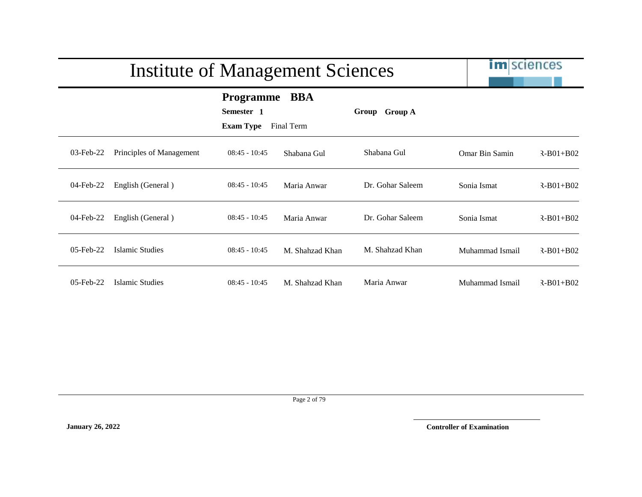|           | <b>Institute of Management Sciences</b> |                                                    |                          |                  | <b>im</b> sciences |                 |
|-----------|-----------------------------------------|----------------------------------------------------|--------------------------|------------------|--------------------|-----------------|
|           |                                         | <b>Programme</b><br>Semester 1<br><b>Exam Type</b> | <b>BBA</b><br>Final Term | Group Group A    |                    |                 |
| 03-Feb-22 | Principles of Management                | $08:45 - 10:45$                                    | Shabana Gul              | Shabana Gul      | Omar Bin Samin     | $R - B01 + B02$ |
| 04-Feb-22 | English (General)                       | $08:45 - 10:45$                                    | Maria Anwar              | Dr. Gohar Saleem | Sonia Ismat        | $R - B01 + B02$ |
| 04-Feb-22 | English (General)                       | $08:45 - 10:45$                                    | Maria Anwar              | Dr. Gohar Saleem | Sonia Ismat        | $R - B01 + B02$ |
| 05-Feb-22 | Islamic Studies                         | $08:45 - 10:45$                                    | M. Shahzad Khan          | M. Shahzad Khan  | Muhammad Ismail    | $R - B01 + B02$ |
| 05-Feb-22 | Islamic Studies                         | $08:45 - 10:45$                                    | M. Shahzad Khan          | Maria Anwar      | Muhammad Ismail    | $R - B01 + B02$ |

Page 2 of 79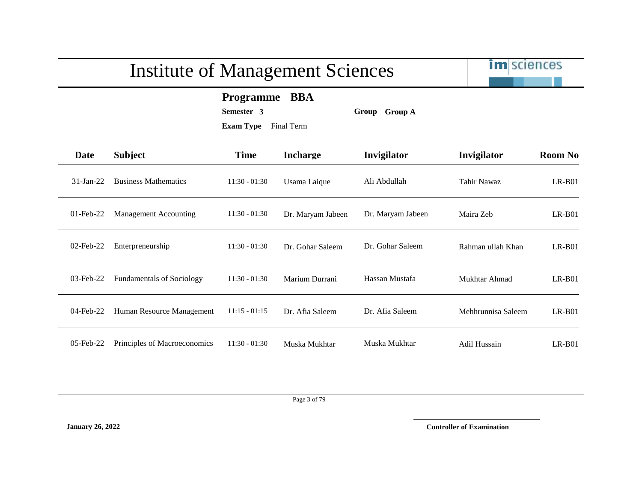im sciences

**Programme BBA**

**Semester 3 Group Group A**

**Exam Type** Final Term

| Date         | <b>Subject</b>                   | <b>Time</b>     | <b>Incharge</b>   | Invigilator       | Invigilator         | <b>Room No</b> |
|--------------|----------------------------------|-----------------|-------------------|-------------------|---------------------|----------------|
| $31-Ian-22$  | <b>Business Mathematics</b>      | $11:30 - 01:30$ | Usama Laique      | Ali Abdullah      | Tahir Nawaz         | $LR-B01$       |
| $01$ -Feb-22 | <b>Management Accounting</b>     | $11:30 - 01:30$ | Dr. Maryam Jabeen | Dr. Maryam Jabeen | Maira Zeb           | $LR-B01$       |
| $02$ -Feb-22 | Enterpreneurship                 | $11:30 - 01:30$ | Dr. Gohar Saleem  | Dr. Gohar Saleem  | Rahman ullah Khan   | $LR-B01$       |
| $03$ -Feb-22 | <b>Fundamentals of Sociology</b> | $11:30 - 01:30$ | Marium Durrani    | Hassan Mustafa    | Mukhtar Ahmad       | $LR-B01$       |
| 04-Feb-22    | Human Resource Management        | $11:15 - 01:15$ | Dr. Afia Saleem   | Dr. Afia Saleem   | Mehhrunnisa Saleem  | $LR-B01$       |
| $05$ -Feb-22 | Principles of Macroeconomics     | $11:30 - 01:30$ | Muska Mukhtar     | Muska Mukhtar     | <b>Adil Hussain</b> | $LR-B01$       |

Page 3 of 79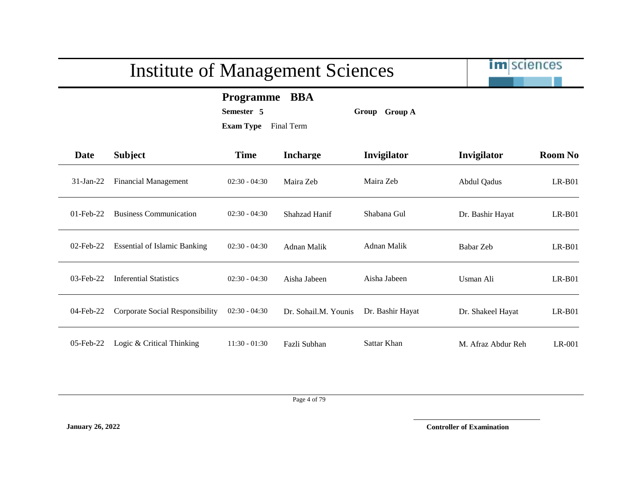im sciences

**Programme BBA**

**Semester 5 Group Group A**

**Exam Type** Final Term

| <b>Date</b>  | <b>Subject</b>                      | <b>Time</b>     | <b>Incharge</b>      | <b>Invigilator</b> | Invigilator        | <b>Room No</b> |
|--------------|-------------------------------------|-----------------|----------------------|--------------------|--------------------|----------------|
| $31$ -Jan-22 | Financial Management                | $02:30 - 04:30$ | Maira Zeb            | Maira Zeb          | <b>Abdul Qadus</b> | $LR-B01$       |
| $01$ -Feb-22 | <b>Business Communication</b>       | $02:30 - 04:30$ | Shahzad Hanif        | Shabana Gul        | Dr. Bashir Hayat   | $LR-B01$       |
| $02$ -Feb-22 | <b>Essential of Islamic Banking</b> | $02:30 - 04:30$ | Adnan Malik          | <b>Adnan Malik</b> | Babar Zeb          | $LR-B01$       |
| 03-Feb-22    | <b>Inferential Statistics</b>       | $02:30 - 04:30$ | Aisha Jabeen         | Aisha Jabeen       | Usman Ali          | $LR-B01$       |
| 04-Feb-22    | Corporate Social Responsibility     | $02:30 - 04:30$ | Dr. Sohail.M. Younis | Dr. Bashir Hayat   | Dr. Shakeel Hayat  | $LR-B01$       |
| $05$ -Feb-22 | Logic & Critical Thinking           | $11:30 - 01:30$ | Fazli Subhan         | Sattar Khan        | M. Afraz Abdur Reh | LR-001         |

Page 4 of 79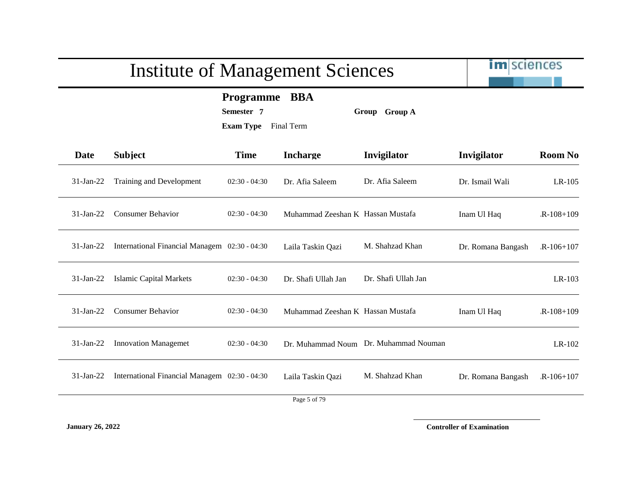# im sciences Institute of Management Sciences **Programme BBA Semester 7 Group Group A Exam Type** Final Term **Date Subject Time Incharge Invigilator Invigilator Room No** 31-Jan-22 Training and Development 02:30 - 04:30 Dr. Afia Saleem Dr. Afia Saleem Dr. Ismail Wali LR-105 31-Jan-22 Consumer Behavior 02:30 - 04:30 Muhammad Zeeshan K Hassan Mustafa Inam Ul Haq R-108+109 31-Jan-22 International Financial Managem 02:30 - 04:30 Laila Taskin Qazi M. Shahzad Khan Dr. Romana Bangash LR-106+107 31-Jan-22 Islamic Capital Markets 02:30 - 04:30 Dr. Shafi Ullah Jan Dr. Shafi Ullah Jan LR-103 31-Jan-22 Consumer Behavior 02:30 - 04:30 Muhammad Zeeshan K Hassan Mustafa Inam Ul Haq R-108+109 31-Jan-22 Innovation Managemet 02:30 - 04:30 Dr. Muhammad Noum Dr. Muhammad Nouman LR-102 31-Jan-22 International Financial Managem 02:30 - 04:30 Laila Taskin Qazi M. Shahzad Khan Dr. Romana Bangash LR-106+107 Page 5 of 79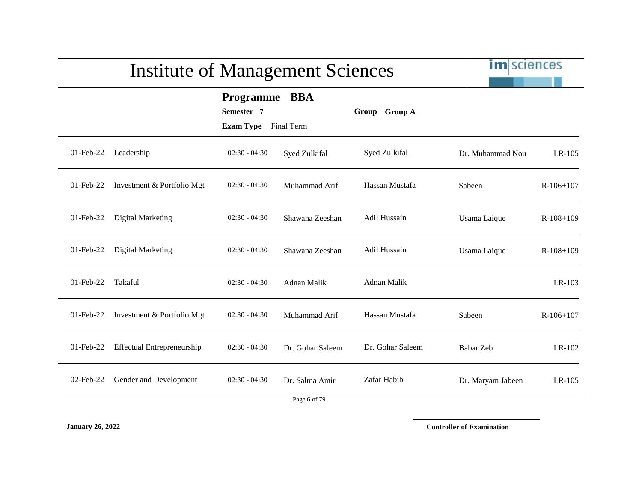|              | <b>Institute of Management Sciences</b> |                                                 |                                      |                  | <b>im</b> sciences |             |
|--------------|-----------------------------------------|-------------------------------------------------|--------------------------------------|------------------|--------------------|-------------|
|              |                                         | Programme BBA<br>Semester 7<br><b>Exam Type</b> | Final Term                           | Group Group A    |                    |             |
| 01-Feb-22    | Leadership                              | $02:30 - 04:30$                                 | Syed Zulkifal                        | Syed Zulkifal    | Dr. Muhammad Nou   | LR-105      |
| $01$ -Feb-22 | Investment & Portfolio Mgt              | $02:30 - 04:30$                                 | Muhammad Arif                        | Hassan Mustafa   | Sabeen             | $R-106+107$ |
| $01$ -Feb-22 | Digital Marketing                       | $02:30 - 04:30$                                 | Shawana Zeeshan                      | Adil Hussain     | Usama Laique       | $R-108+109$ |
| 01-Feb-22    | Digital Marketing                       | $02:30 - 04:30$                                 | Shawana Zeeshan                      | Adil Hussain     | Usama Laique       | $R-108+109$ |
| 01-Feb-22    | Takaful                                 | $02:30 - 04:30$                                 | Adnan Malik                          | Adnan Malik      |                    | LR-103      |
| 01-Feb-22    | Investment & Portfolio Mgt              | $02:30 - 04:30$                                 | Muhammad Arif                        | Hassan Mustafa   | Sabeen             | $R-106+107$ |
| $01$ -Feb-22 | <b>Effectual Entrepreneurship</b>       | $02:30 - 04:30$                                 | Dr. Gohar Saleem                     | Dr. Gohar Saleem | Babar Zeb          | LR-102      |
| $02$ -Feb-22 | Gender and Development                  | $02:30 - 04:30$                                 | Dr. Salma Amir<br>$D_{0.02}$ 6 of 70 | Zafar Habib      | Dr. Maryam Jabeen  | $LR-105$    |

Page 6 of 79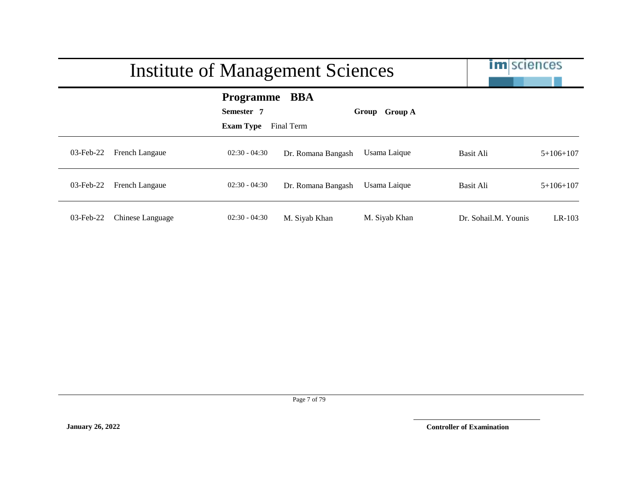|           |                  | Institute of Management Sciences                   |                    |                         | <b>im</b> sciences   |             |
|-----------|------------------|----------------------------------------------------|--------------------|-------------------------|----------------------|-------------|
|           |                  | <b>Programme</b><br>Semester 7<br><b>Exam Type</b> | BBA<br>Final Term  | <b>Group A</b><br>Group |                      |             |
| 03-Feb-22 | French Langaue   | $02:30 - 04:30$                                    | Dr. Romana Bangash | Usama Laique            | Basit Ali            | $5+106+107$ |
| 03-Feb-22 | French Langaue   | $02:30 - 04:30$                                    | Dr. Romana Bangash | Usama Laique            | Basit Ali            | $5+106+107$ |
| 03-Feb-22 | Chinese Language | $02:30 - 04:30$                                    | M. Siyab Khan      | M. Siyab Khan           | Dr. Sohail.M. Younis | $LR-103$    |

Page 7 of 79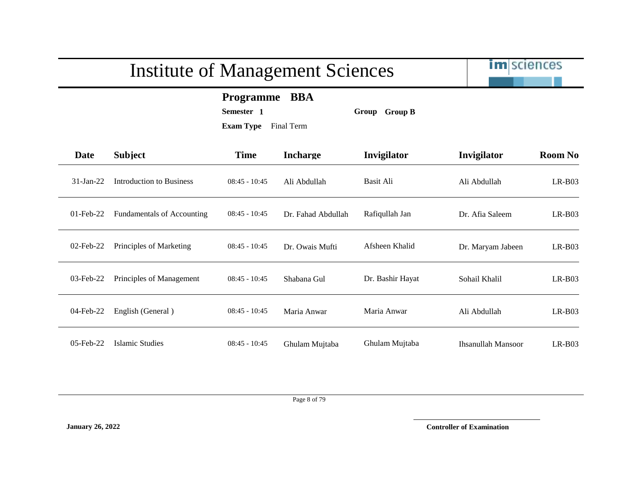im sciences

**Programme BBA**

**Semester 1 Group Group B**

**Exam Type** Final Term

| <b>Date</b>  | <b>Subject</b>                    | <b>Time</b>     | <b>Incharge</b>    | Invigilator      | Invigilator               | <b>Room No</b> |
|--------------|-----------------------------------|-----------------|--------------------|------------------|---------------------------|----------------|
| $31-Ian-22$  | Introduction to Business          | $08:45 - 10:45$ | Ali Abdullah       | Basit Ali        | Ali Abdullah              | $LR-B03$       |
| $01$ -Feb-22 | <b>Fundamentals of Accounting</b> | $08:45 - 10:45$ | Dr. Fahad Abdullah | Rafiqullah Jan   | Dr. Afia Saleem           | $LR-B03$       |
| $02$ -Feb-22 | Principles of Marketing           | $08:45 - 10:45$ | Dr. Owais Mufti    | Afsheen Khalid   | Dr. Maryam Jabeen         | $LR-B03$       |
| $03$ -Feb-22 | Principles of Management          | $08:45 - 10:45$ | Shabana Gul        | Dr. Bashir Hayat | Sohail Khalil             | $LR-B03$       |
| 04-Feb-22    | English (General)                 | $08:45 - 10:45$ | Maria Anwar        | Maria Anwar      | Ali Abdullah              | $LR-B03$       |
| 05-Feb-22    | Islamic Studies                   | $08:45 - 10:45$ | Ghulam Mujtaba     | Ghulam Mujtaba   | <b>Ihsanullah Mansoor</b> | $LR-B03$       |

Page 8 of 79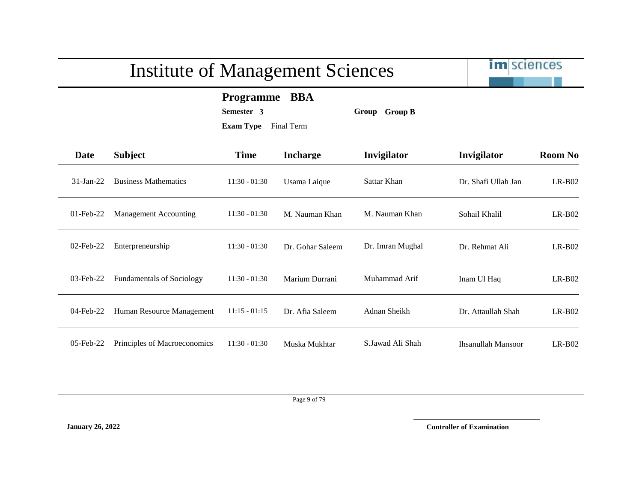im sciences

**Programme BBA**

**Semester 3 Group Group B**

**Exam Type** Final Term

| Date         | <b>Subject</b>                   | <b>Time</b>     | <b>Incharge</b>  | Invigilator      | Invigilator               | <b>Room No</b> |
|--------------|----------------------------------|-----------------|------------------|------------------|---------------------------|----------------|
| $31$ -Jan-22 | <b>Business Mathematics</b>      | $11:30 - 01:30$ | Usama Laique     | Sattar Khan      | Dr. Shafi Ullah Jan       | $LR-B02$       |
| $01$ -Feb-22 | <b>Management Accounting</b>     | $11:30 - 01:30$ | M. Nauman Khan   | M. Nauman Khan   | Sohail Khalil             | $LR-B02$       |
| 02-Feb-22    | Enterpreneurship                 | $11:30 - 01:30$ | Dr. Gohar Saleem | Dr. Imran Mughal | Dr. Rehmat Ali            | $LR-B02$       |
| 03-Feb-22    | <b>Fundamentals of Sociology</b> | $11:30 - 01:30$ | Marium Durrani   | Muhammad Arif    | Inam Ul Haq               | $LR-B02$       |
| 04-Feb-22    | Human Resource Management        | $11:15 - 01:15$ | Dr. Afia Saleem  | Adnan Sheikh     | Dr. Attaullah Shah        | $LR-B02$       |
| $05$ -Feb-22 | Principles of Macroeconomics     | $11:30 - 01:30$ | Muska Mukhtar    | S.Jawad Ali Shah | <b>Ihsanullah Mansoor</b> | $LR- B02$      |

Page 9 of 79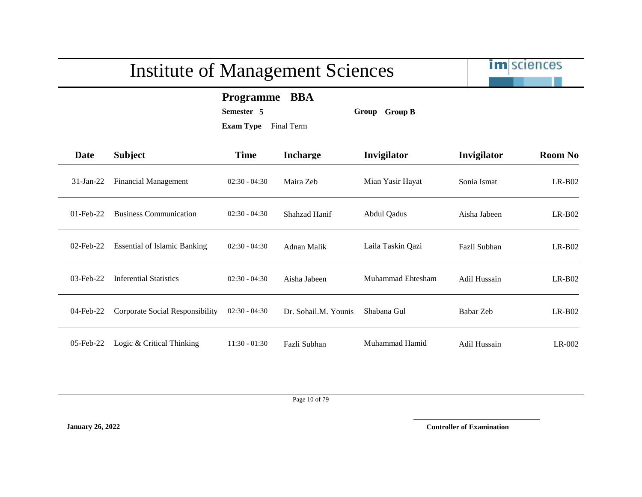

**Programme BBA**

**Semester 5 Group Group B**

**Exam Type** Final Term

| Date         | <b>Subject</b>                      | <b>Time</b>     | <b>Incharge</b>      | Invigilator       | Invigilator         | <b>Room No</b> |
|--------------|-------------------------------------|-----------------|----------------------|-------------------|---------------------|----------------|
| $31$ -Jan-22 | <b>Financial Management</b>         | $02:30 - 04:30$ | Maira Zeb            | Mian Yasir Hayat  | Sonia Ismat         | $LR-B02$       |
| $01$ -Feb-22 | <b>Business Communication</b>       | $02:30 - 04:30$ | Shahzad Hanif        | Abdul Qadus       | Aisha Jabeen        | $LR-B02$       |
| $02$ -Feb-22 | <b>Essential of Islamic Banking</b> | $02:30 - 04:30$ | Adnan Malik          | Laila Taskin Qazi | Fazli Subhan        | $LR-B02$       |
| $03$ -Feb-22 | <b>Inferential Statistics</b>       | $02:30 - 04:30$ | Aisha Jabeen         | Muhammad Ehtesham | Adil Hussain        | $LR-B02$       |
| 04-Feb-22    | Corporate Social Responsibility     | $02:30 - 04:30$ | Dr. Sohail.M. Younis | Shabana Gul       | Babar Zeb           | $LR-B02$       |
| $05$ -Feb-22 | Logic & Critical Thinking           | $11:30 - 01:30$ | Fazli Subhan         | Muhammad Hamid    | <b>Adil Hussain</b> | $LR-002$       |

Page 10 of 79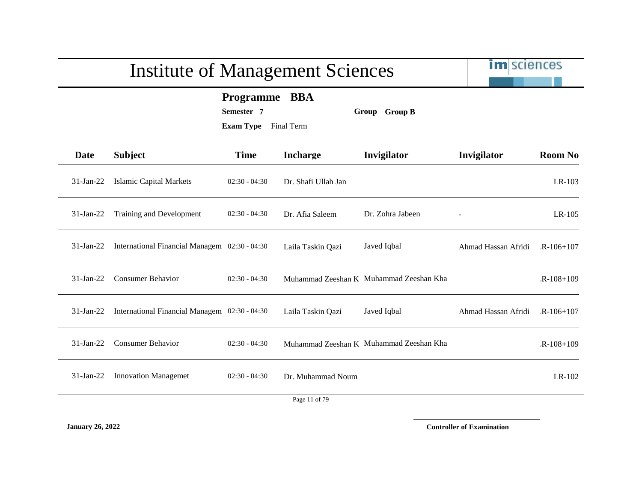|              | <b>Institute of Management Sciences</b>                 |                                                                   |                     |                                         | <b>im</b> sciences  |                |
|--------------|---------------------------------------------------------|-------------------------------------------------------------------|---------------------|-----------------------------------------|---------------------|----------------|
|              |                                                         | <b>Programme BBA</b><br>Semester 7<br><b>Exam Type</b> Final Term |                     | Group Group B                           |                     |                |
| <b>Date</b>  | <b>Subject</b>                                          | <b>Time</b>                                                       | <b>Incharge</b>     | Invigilator                             | Invigilator         | <b>Room No</b> |
| 31-Jan-22    | <b>Islamic Capital Markets</b>                          | $02:30 - 04:30$                                                   | Dr. Shafi Ullah Jan |                                         |                     | LR-103         |
| $31$ -Jan-22 | Training and Development                                | $02:30 - 04:30$                                                   | Dr. Afia Saleem     | Dr. Zohra Jabeen                        |                     | $LR-105$       |
|              | 31-Jan-22 International Financial Managem 02:30 - 04:30 |                                                                   | Laila Taskin Qazi   | Javed Iqbal                             | Ahmad Hassan Afridi | $R-106+107$    |
| $31$ -Jan-22 | <b>Consumer Behavior</b>                                | $02:30 - 04:30$                                                   |                     | Muhammad Zeeshan K Muhammad Zeeshan Kha |                     | $R-108+109$    |
| $31$ -Jan-22 | International Financial Managem 02:30 - 04:30           |                                                                   | Laila Taskin Qazi   | Javed Iqbal                             | Ahmad Hassan Afridi | $R-106+107$    |
| $31$ -Jan-22 | <b>Consumer Behavior</b>                                | $02:30 - 04:30$                                                   |                     | Muhammad Zeeshan K Muhammad Zeeshan Kha |                     | $R-108+109$    |
| $31-Jan-22$  | <b>Innovation Managemet</b>                             | $02:30 - 04:30$                                                   | Dr. Muhammad Noum   |                                         |                     | LR-102         |
|              |                                                         |                                                                   | Page 11 of 79       |                                         |                     |                |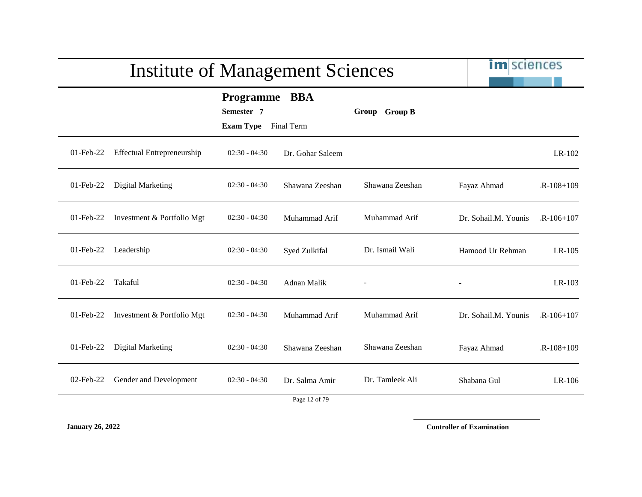|              | <b>Institute of Management Sciences</b> |                                                               |                                 | im sciences     |                      |             |
|--------------|-----------------------------------------|---------------------------------------------------------------|---------------------------------|-----------------|----------------------|-------------|
|              |                                         | <b>Programme</b><br>Semester 7<br><b>Exam Type</b> Final Term | <b>BBA</b>                      | Group Group B   |                      |             |
| $01$ -Feb-22 | <b>Effectual Entrepreneurship</b>       | $02:30 - 04:30$                                               | Dr. Gohar Saleem                |                 |                      | LR-102      |
| 01-Feb-22    | Digital Marketing                       | $02:30 - 04:30$                                               | Shawana Zeeshan                 | Shawana Zeeshan | Fayaz Ahmad          | $R-108+109$ |
| 01-Feb-22    | Investment & Portfolio Mgt              | $02:30 - 04:30$                                               | Muhammad Arif                   | Muhammad Arif   | Dr. Sohail.M. Younis | $R-106+107$ |
| 01-Feb-22    | Leadership                              | $02:30 - 04:30$                                               | Syed Zulkifal                   | Dr. Ismail Wali | Hamood Ur Rehman     | $LR-105$    |
| 01-Feb-22    | Takaful                                 | $02:30 - 04:30$                                               | Adnan Malik                     |                 |                      | LR-103      |
| $01$ -Feb-22 | Investment & Portfolio Mgt              | $02:30 - 04:30$                                               | Muhammad Arif                   | Muhammad Arif   | Dr. Sohail.M. Younis | $R-106+107$ |
| 01-Feb-22    | <b>Digital Marketing</b>                | $02:30 - 04:30$                                               | Shawana Zeeshan                 | Shawana Zeeshan | Fayaz Ahmad          | $R-108+109$ |
| 02-Feb-22    | Gender and Development                  | $02:30 - 04:30$                                               | Dr. Salma Amir<br>Page 12 of 79 | Dr. Tamleek Ali | Shabana Gul          | LR-106      |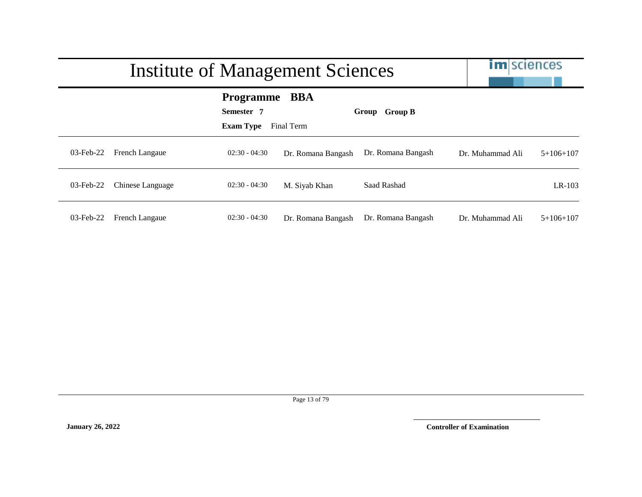|              | <b>Institute of Management Sciences</b> | <b>im</b> sciences                                 |                    |                         |                  |             |
|--------------|-----------------------------------------|----------------------------------------------------|--------------------|-------------------------|------------------|-------------|
|              |                                         | <b>Programme</b><br>Semester 7<br><b>Exam Type</b> | BBA<br>Final Term  | <b>Group B</b><br>Group |                  |             |
| $03$ -Feb-22 | French Langaue                          | $02:30 - 04:30$                                    | Dr. Romana Bangash | Dr. Romana Bangash      | Dr. Muhammad Ali | $5+106+107$ |
| $03$ -Feb-22 | Chinese Language                        | $02:30 - 04:30$                                    | M. Siyab Khan      | Saad Rashad             |                  | $LR-103$    |
| $03$ -Feb-22 | French Langaue                          | $02:30 - 04:30$                                    | Dr. Romana Bangash | Dr. Romana Bangash      | Dr. Muhammad Ali | $5+106+107$ |

Page 13 of 79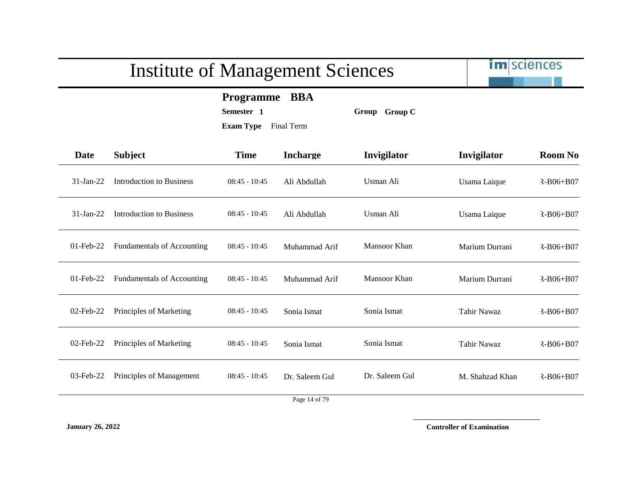im sciences

**Programme BBA**

**Semester 1 Group Group C**

**Exam Type** Final Term

| <b>Date</b>  | <b>Subject</b>                    | <b>Time</b>     | <b>Incharge</b> | Invigilator    | Invigilator     | <b>Room No</b>  |
|--------------|-----------------------------------|-----------------|-----------------|----------------|-----------------|-----------------|
| $31-Ian-22$  | Introduction to Business          | $08:45 - 10:45$ | Ali Abdullah    | Usman Ali      | Usama Laique    | $R - B06 + B07$ |
| $31-Jan-22$  | Introduction to Business          | $08:45 - 10:45$ | Ali Abdullah    | Usman Ali      | Usama Laique    | $R-B06+B07$     |
| $01$ -Feb-22 | <b>Fundamentals of Accounting</b> | $08:45 - 10:45$ | Muhammad Arif   | Mansoor Khan   | Marium Durrani  | $R - B06 + B07$ |
| $01$ -Feb-22 | Fundamentals of Accounting        | $08:45 - 10:45$ | Muhammad Arif   | Mansoor Khan   | Marium Durrani  | $R-B06+B07$     |
| $02$ -Feb-22 | Principles of Marketing           | $08:45 - 10:45$ | Sonia Ismat     | Sonia Ismat    | Tahir Nawaz     | R-B06+B07       |
| 02-Feb-22    | Principles of Marketing           | $08:45 - 10:45$ | Sonia Ismat     | Sonia Ismat    | Tahir Nawaz     | R-B06+B07       |
| 03-Feb-22    | Principles of Management          | $08:45 - 10:45$ | Dr. Saleem Gul  | Dr. Saleem Gul | M. Shahzad Khan | $R - B06 + B07$ |
|              |                                   |                 |                 |                |                 |                 |

Page 14 of 79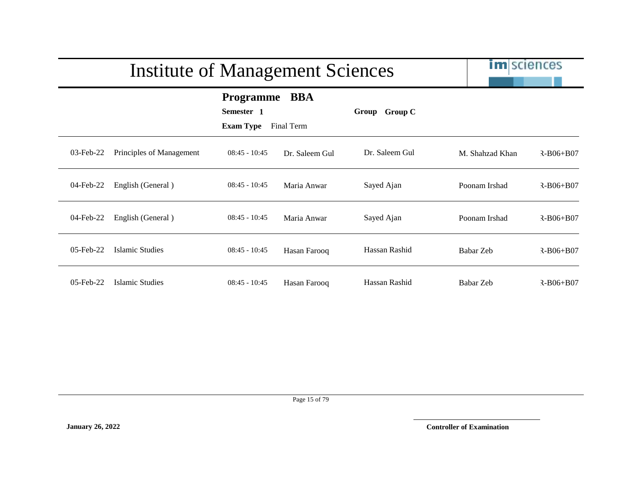|           | <b>Institute of Management Sciences</b> |                                                    | <b>im</b> sciences       |                |                 |                 |
|-----------|-----------------------------------------|----------------------------------------------------|--------------------------|----------------|-----------------|-----------------|
|           |                                         | <b>Programme</b><br>Semester 1<br><b>Exam Type</b> | <b>BBA</b><br>Final Term | Group Group C  |                 |                 |
| 03-Feb-22 | Principles of Management                | $08:45 - 10:45$                                    | Dr. Saleem Gul           | Dr. Saleem Gul | M. Shahzad Khan | $R - B06 + B07$ |
| 04-Feb-22 | English (General)                       | $08:45 - 10:45$                                    | Maria Anwar              | Sayed Ajan     | Poonam Irshad   | $R - B06 + B07$ |
| 04-Feb-22 | English (General)                       | $08:45 - 10:45$                                    | Maria Anwar              | Sayed Ajan     | Poonam Irshad   | $R - B06 + B07$ |
| 05-Feb-22 | Islamic Studies                         | $08:45 - 10:45$                                    | Hasan Farooq             | Hassan Rashid  | Babar Zeb       | $R - B06 + B07$ |
| 05-Feb-22 | Islamic Studies                         | $08:45 - 10:45$                                    | Hasan Farooq             | Hassan Rashid  | Babar Zeb       | $R - B06 + B07$ |

Page 15 of 79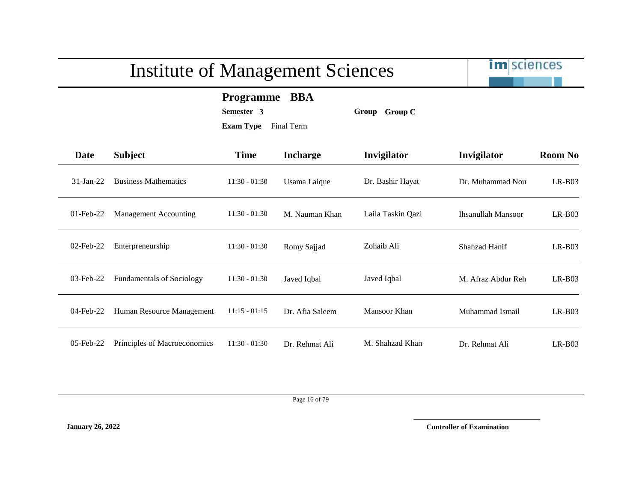im sciences

**Programme BBA**

**Semester 3 Group Group C**

**Exam Type** Final Term

| Date         | <b>Subject</b>                   | <b>Time</b>     | <b>Incharge</b> | Invigilator       | Invigilator        | <b>Room No</b> |
|--------------|----------------------------------|-----------------|-----------------|-------------------|--------------------|----------------|
| $31$ -Jan-22 | <b>Business Mathematics</b>      | $11:30 - 01:30$ | Usama Laique    | Dr. Bashir Hayat  | Dr. Muhammad Nou   | $LR-B03$       |
| $01$ -Feb-22 | <b>Management Accounting</b>     | $11:30 - 01:30$ | M. Nauman Khan  | Laila Taskin Qazi | Ihsanullah Mansoor | $LR-BO3$       |
| $02$ -Feb-22 | Enterpreneurship                 | $11:30 - 01:30$ | Romy Sajjad     | Zohaib Ali        | Shahzad Hanif      | $LR-BO3$       |
| $03$ -Feb-22 | <b>Fundamentals of Sociology</b> | $11:30 - 01:30$ | Javed Iqbal     | Javed Iqbal       | M. Afraz Abdur Reh | $LR-BO3$       |
| 04-Feb-22    | Human Resource Management        | $11:15 - 01:15$ | Dr. Afia Saleem | Mansoor Khan      | Muhammad Ismail    | $LR-BO3$       |
| $05$ -Feb-22 | Principles of Macroeconomics     | $11:30 - 01:30$ | Dr. Rehmat Ali  | M. Shahzad Khan   | Dr. Rehmat Ali     | $LR-B03$       |

Page 16 of 79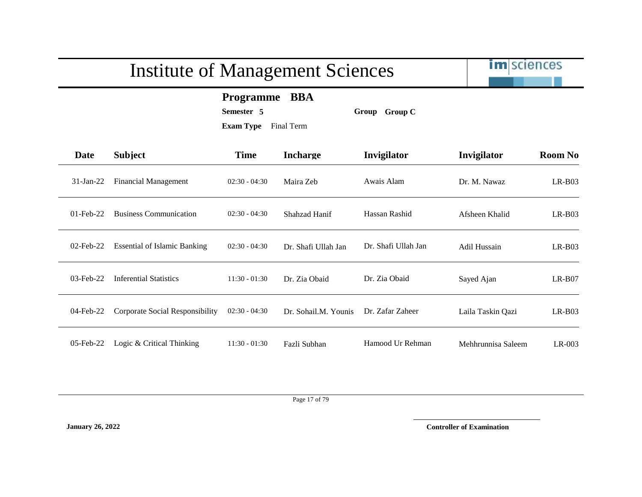im sciences

**Programme BBA**

**Semester 5 Group Group C**

**Exam Type** Final Term

| <b>Date</b>  | <b>Subject</b>                      | <b>Time</b>     | <b>Incharge</b>      | Invigilator         | Invigilator         | <b>Room No</b> |
|--------------|-------------------------------------|-----------------|----------------------|---------------------|---------------------|----------------|
| $31$ -Jan-22 | Financial Management                | $02:30 - 04:30$ | Maira Zeb            | Awais Alam          | Dr. M. Nawaz        | $LR-B03$       |
| $01$ -Feb-22 | <b>Business Communication</b>       | $02:30 - 04:30$ | <b>Shahzad Hanif</b> | Hassan Rashid       | Afsheen Khalid      | $LR-B03$       |
| $02$ -Feb-22 | <b>Essential of Islamic Banking</b> | $02:30 - 04:30$ | Dr. Shafi Ullah Jan  | Dr. Shafi Ullah Jan | <b>Adil Hussain</b> | $LR-B03$       |
| $03$ -Feb-22 | <b>Inferential Statistics</b>       | $11:30 - 01:30$ | Dr. Zia Obaid        | Dr. Zia Obaid       | Sayed Ajan          | $LR-B07$       |
| 04-Feb-22    | Corporate Social Responsibility     | $02:30 - 04:30$ | Dr. Sohail.M. Younis | Dr. Zafar Zaheer    | Laila Taskin Qazi   | $LR-B03$       |
| $05$ -Feb-22 | Logic & Critical Thinking           | $11:30 - 01:30$ | Fazli Subhan         | Hamood Ur Rehman    | Mehhrunnisa Saleem  | $LR-003$       |

Page 17 of 79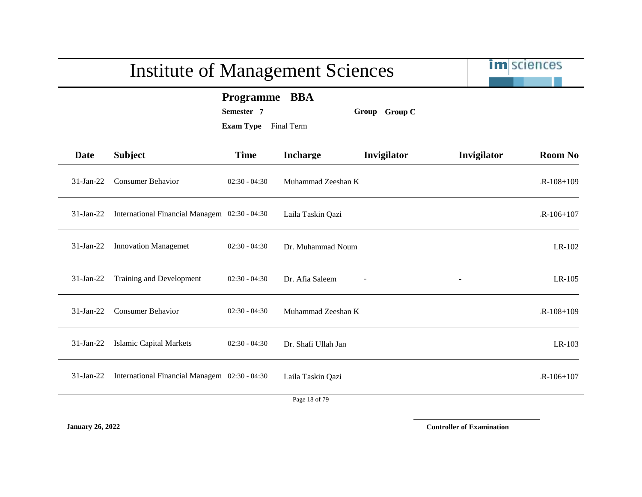|              | <b>Institute of Management Sciences</b>       |                                                               |                     |               |             | im sciences    |
|--------------|-----------------------------------------------|---------------------------------------------------------------|---------------------|---------------|-------------|----------------|
|              |                                               | <b>Programme</b><br>Semester 7<br><b>Exam Type</b> Final Term | <b>BBA</b>          | Group Group C |             |                |
| <b>Date</b>  | <b>Subject</b>                                | <b>Time</b>                                                   | <b>Incharge</b>     | Invigilator   | Invigilator | <b>Room No</b> |
| $31-Jan-22$  | <b>Consumer Behavior</b>                      | $02:30 - 04:30$                                               | Muhammad Zeeshan K  |               |             | $R-108+109$    |
| $31$ -Jan-22 | International Financial Managem 02:30 - 04:30 |                                                               | Laila Taskin Qazi   |               |             | $R-106+107$    |
| $31$ -Jan-22 | <b>Innovation Managemet</b>                   | $02:30 - 04:30$                                               | Dr. Muhammad Noum   |               |             | LR-102         |
| $31$ -Jan-22 | Training and Development                      | $02:30 - 04:30$                                               | Dr. Afia Saleem     |               |             | $LR-105$       |
| $31$ -Jan-22 | <b>Consumer Behavior</b>                      | $02:30 - 04:30$                                               | Muhammad Zeeshan K  |               |             | $R-108+109$    |
| $31$ -Jan-22 | <b>Islamic Capital Markets</b>                | $02:30 - 04:30$                                               | Dr. Shafi Ullah Jan |               |             | $LR-103$       |
| $31-Jan-22$  | International Financial Managem 02:30 - 04:30 |                                                               | Laila Taskin Qazi   |               |             | $R-106+107$    |
|              |                                               |                                                               | Page 18 of 79       |               |             |                |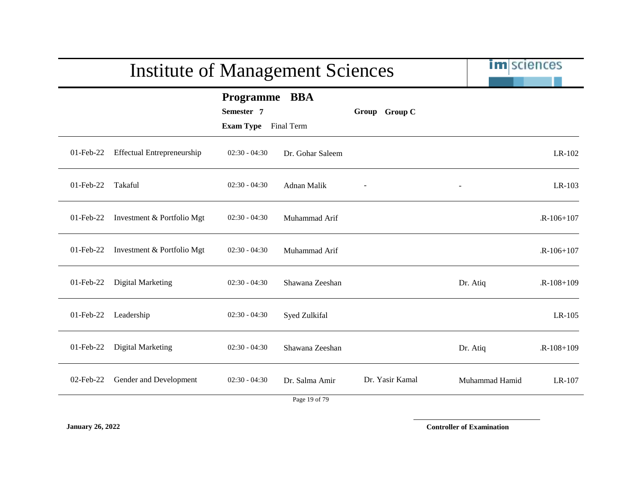|              | <b>Institute of Management Sciences</b> |                                                 | <b>im</b> sciences              |                 |                |             |
|--------------|-----------------------------------------|-------------------------------------------------|---------------------------------|-----------------|----------------|-------------|
|              |                                         | Programme BBA<br>Semester 7<br><b>Exam Type</b> | Final Term                      | Group Group C   |                |             |
| $01$ -Feb-22 | <b>Effectual Entrepreneurship</b>       | $02:30 - 04:30$                                 | Dr. Gohar Saleem                |                 |                | LR-102      |
| $01$ -Feb-22 | Takaful                                 | $02:30 - 04:30$                                 | Adnan Malik                     |                 |                | $LR-103$    |
| 01-Feb-22    | Investment & Portfolio Mgt              | $02:30 - 04:30$                                 | Muhammad Arif                   |                 |                | $R-106+107$ |
| 01-Feb-22    | Investment & Portfolio Mgt              | $02:30 - 04:30$                                 | Muhammad Arif                   |                 |                | $R-106+107$ |
| 01-Feb-22    | Digital Marketing                       | $02:30 - 04:30$                                 | Shawana Zeeshan                 |                 | Dr. Atiq       | $R-108+109$ |
| $01$ -Feb-22 | Leadership                              | $02:30 - 04:30$                                 | Syed Zulkifal                   |                 |                | $LR-105$    |
| $01$ -Feb-22 | Digital Marketing                       | $02:30 - 04:30$                                 | Shawana Zeeshan                 |                 | Dr. Atiq       | $R-108+109$ |
| $02$ -Feb-22 | Gender and Development                  | $02:30 - 04:30$                                 | Dr. Salma Amir<br>Page 19 of 79 | Dr. Yasir Kamal | Muhammad Hamid | LR-107      |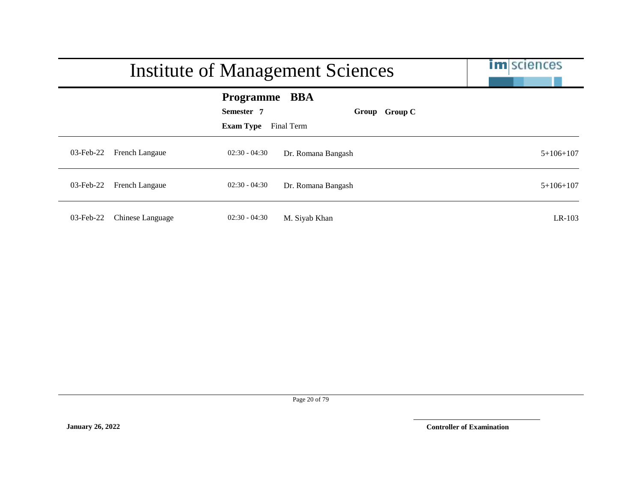|              | <b>Institute of Management Sciences</b> | <b>im</b> sciences                                     |                             |             |
|--------------|-----------------------------------------|--------------------------------------------------------|-----------------------------|-------------|
|              |                                         | <b>Programme BBA</b><br>Semester 7<br><b>Exam Type</b> | Group Group C<br>Final Term |             |
| $03$ -Feb-22 | French Langaue                          | $02:30 - 04:30$                                        | Dr. Romana Bangash          | $5+106+107$ |
| 03-Feb-22    | <b>French Langaue</b>                   | $02:30 - 04:30$                                        | Dr. Romana Bangash          | $5+106+107$ |
| $03$ -Feb-22 | Chinese Language                        | $02:30 - 04:30$                                        | M. Siyab Khan               | LR-103      |

Page 20 of 79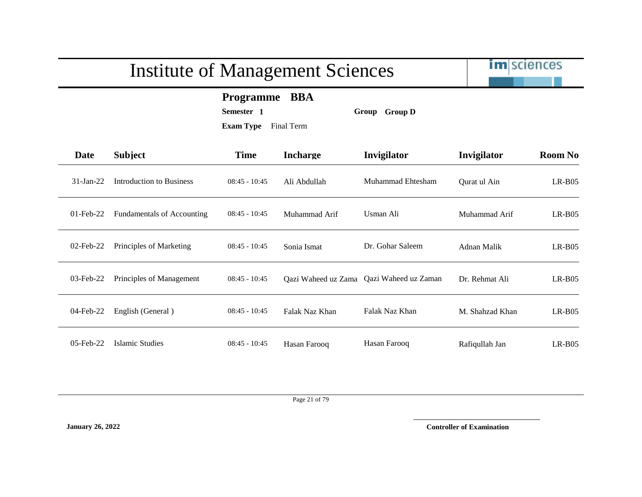

**Programme BBA**

**Semester 1 Group Group D**

**Exam Type** Final Term

| Date         | <b>Subject</b>                    | <b>Time</b>     | <b>Incharge</b> | Invigilator                              | Invigilator     | <b>Room No</b> |
|--------------|-----------------------------------|-----------------|-----------------|------------------------------------------|-----------------|----------------|
| $31$ -Jan-22 | Introduction to Business          | $08:45 - 10:45$ | Ali Abdullah    | Muhammad Ehtesham                        | Qurat ul Ain    | $LR-B05$       |
| $01$ -Feb-22 | <b>Fundamentals of Accounting</b> | $08:45 - 10:45$ | Muhammad Arif   | Usman Ali                                | Muhammad Arif   | $LR-BO5$       |
| $02$ -Feb-22 | Principles of Marketing           | $08:45 - 10:45$ | Sonia Ismat     | Dr. Gohar Saleem                         | Adnan Malik     | $LR-B05$       |
| $03$ -Feb-22 | Principles of Management          | $08:45 - 10:45$ |                 | Qazi Waheed uz Zama Qazi Waheed uz Zaman | Dr. Rehmat Ali  | $LR-B05$       |
| 04-Feb-22    | English (General)                 | $08:45 - 10:45$ | Falak Naz Khan  | Falak Naz Khan                           | M. Shahzad Khan | $LR-B05$       |
| $05$ -Feb-22 | Islamic Studies                   | $08:45 - 10:45$ | Hasan Farooq    | Hasan Farooq                             | Rafiqullah Jan  | $LR-B05$       |

Page 21 of 79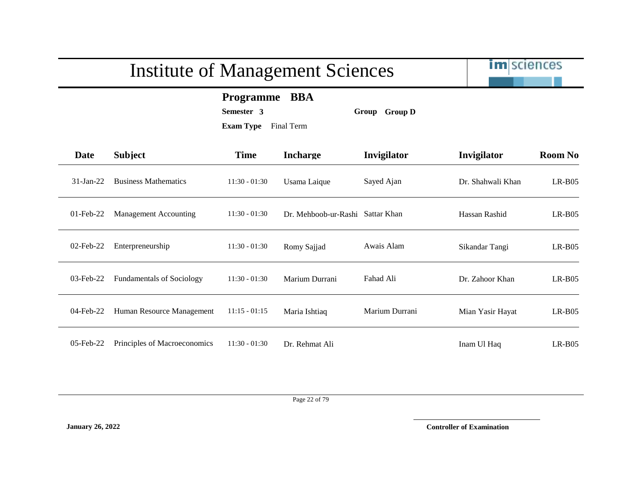im sciences

**Programme BBA**

**Semester 3 Group Group D**

**Exam Type** Final Term

| <b>Date</b>  | <b>Subject</b>                   | <b>Time</b>     | <b>Incharge</b>                  | Invigilator    | Invigilator       | <b>Room No</b> |
|--------------|----------------------------------|-----------------|----------------------------------|----------------|-------------------|----------------|
| $31$ -Jan-22 | <b>Business Mathematics</b>      | $11:30 - 01:30$ | Usama Laique                     | Sayed Ajan     | Dr. Shahwali Khan | $LR-B05$       |
| $01$ -Feb-22 | Management Accounting            | $11:30 - 01:30$ | Dr. Mehboob-ur-Rashi Sattar Khan |                | Hassan Rashid     | $LR-B05$       |
| $02$ -Feb-22 | Enterpreneurship                 | $11:30 - 01:30$ | Romy Sajjad                      | Awais Alam     | Sikandar Tangi    | $LR-B05$       |
| 03-Feb-22    | <b>Fundamentals of Sociology</b> | $11:30 - 01:30$ | Marium Durrani                   | Fahad Ali      | Dr. Zahoor Khan   | $LR-B05$       |
| 04-Feb-22    | Human Resource Management        | $11:15 - 01:15$ | Maria Ishtiaq                    | Marium Durrani | Mian Yasir Hayat  | $LR-B05$       |
| $05$ -Feb-22 | Principles of Macroeconomics     | $11:30 - 01:30$ | Dr. Rehmat Ali                   |                | Inam Ul Haq       | $LR-B05$       |

Page 22 of 79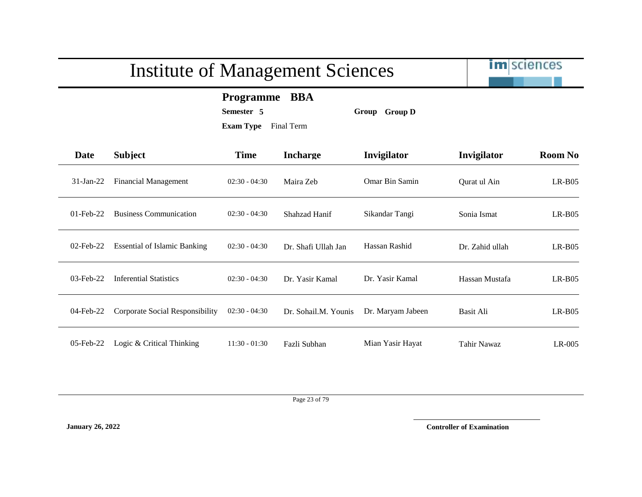im sciences

**Programme BBA**

**Semester 5 Group Group D**

**Exam Type** Final Term

| Date         | <b>Subject</b>                      | <b>Time</b>     | <b>Incharge</b>      | Invigilator       | Invigilator      | <b>Room No</b> |
|--------------|-------------------------------------|-----------------|----------------------|-------------------|------------------|----------------|
| $31$ -Jan-22 | <b>Financial Management</b>         | $02:30 - 04:30$ | Maira Zeb            | Omar Bin Samin    | Qurat ul Ain     | $LR-B05$       |
| $01$ -Feb-22 | <b>Business Communication</b>       | $02:30 - 04:30$ | Shahzad Hanif        | Sikandar Tangi    | Sonia Ismat      | $LR-B05$       |
| $02$ -Feb-22 | <b>Essential of Islamic Banking</b> | $02:30 - 04:30$ | Dr. Shafi Ullah Jan  | Hassan Rashid     | Dr. Zahid ullah  | $LR-B05$       |
| $03$ -Feb-22 | <b>Inferential Statistics</b>       | $02:30 - 04:30$ | Dr. Yasir Kamal      | Dr. Yasir Kamal   | Hassan Mustafa   | $LR-B05$       |
| 04-Feb-22    | Corporate Social Responsibility     | $02:30 - 04:30$ | Dr. Sohail.M. Younis | Dr. Maryam Jabeen | <b>Basit Ali</b> | $LR-B05$       |
| $05$ -Feb-22 | Logic & Critical Thinking           | $11:30 - 01:30$ | Fazli Subhan         | Mian Yasir Hayat  | Tahir Nawaz      | $LR-005$       |

Page 23 of 79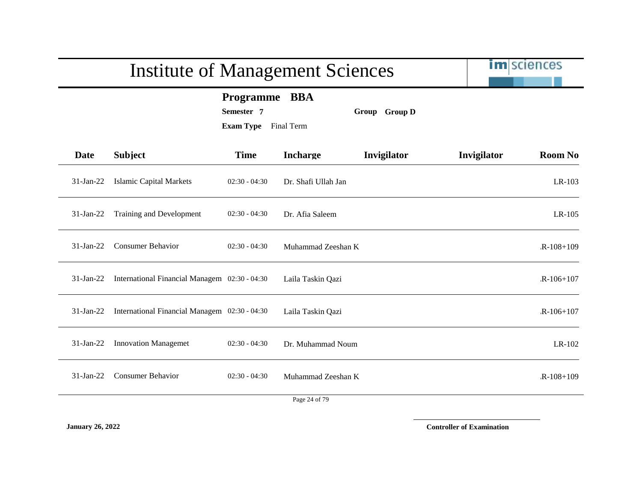|              | <b>Institute of Management Sciences</b>       |                                                            |                     |               |             | im sciences    |
|--------------|-----------------------------------------------|------------------------------------------------------------|---------------------|---------------|-------------|----------------|
|              |                                               | Programme BBA<br>Semester 7<br><b>Exam Type</b> Final Term |                     | Group Group D |             |                |
| <b>Date</b>  | <b>Subject</b>                                | <b>Time</b>                                                | <b>Incharge</b>     | Invigilator   | Invigilator | <b>Room No</b> |
| $31-Jan-22$  | <b>Islamic Capital Markets</b>                | $02:30 - 04:30$                                            | Dr. Shafi Ullah Jan |               |             | LR-103         |
| $31$ -Jan-22 | Training and Development                      | $02:30 - 04:30$                                            | Dr. Afia Saleem     |               |             | $LR-105$       |
| $31-Jan-22$  | <b>Consumer Behavior</b>                      | $02:30 - 04:30$                                            | Muhammad Zeeshan K  |               |             | $R-108+109$    |
| $31-Jan-22$  | International Financial Managem 02:30 - 04:30 |                                                            | Laila Taskin Qazi   |               |             | $R-106+107$    |
| $31-Jan-22$  | International Financial Managem 02:30 - 04:30 |                                                            | Laila Taskin Qazi   |               |             | $R-106+107$    |
| $31-Jan-22$  | <b>Innovation Managemet</b>                   | $02:30 - 04:30$                                            | Dr. Muhammad Noum   |               |             | LR-102         |
| $31-Jan-22$  | <b>Consumer Behavior</b>                      | $02:30 - 04:30$                                            | Muhammad Zeeshan K  |               |             | $R-108+109$    |
|              |                                               |                                                            | Page 24 of 79       |               |             |                |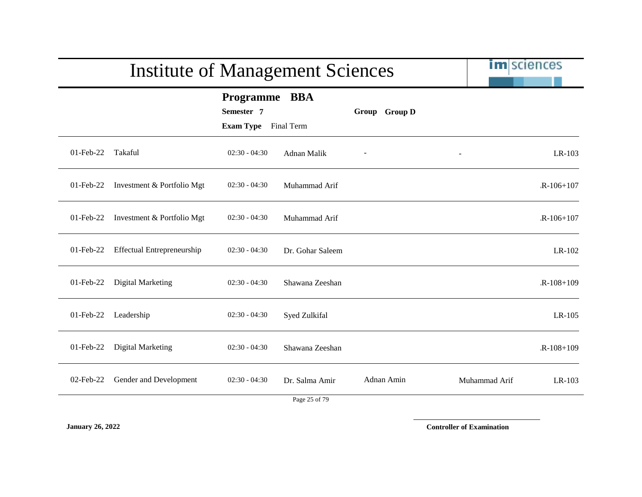|              |                                   |                                                            | <b>Institute of Management Sciences</b> |               |               |             |  |
|--------------|-----------------------------------|------------------------------------------------------------|-----------------------------------------|---------------|---------------|-------------|--|
|              |                                   | Programme BBA<br>Semester 7<br><b>Exam Type</b> Final Term |                                         | Group Group D |               |             |  |
| 01-Feb-22    | Takaful                           | $02:30 - 04:30$                                            | Adnan Malik                             |               |               | LR-103      |  |
| $01$ -Feb-22 | Investment & Portfolio Mgt        | $02:30 - 04:30$                                            | Muhammad Arif                           |               |               | $R-106+107$ |  |
| 01-Feb-22    | Investment & Portfolio Mgt        | $02:30 - 04:30$                                            | Muhammad Arif                           |               |               | $R-106+107$ |  |
| $01$ -Feb-22 | <b>Effectual Entrepreneurship</b> | $02:30 - 04:30$                                            | Dr. Gohar Saleem                        |               |               | LR-102      |  |
| 01-Feb-22    | Digital Marketing                 | $02:30 - 04:30$                                            | Shawana Zeeshan                         |               |               | $R-108+109$ |  |
| 01-Feb-22    | Leadership                        | $02:30 - 04:30$                                            | Syed Zulkifal                           |               |               | $LR-105$    |  |
| 01-Feb-22    | Digital Marketing                 | $02:30 - 04:30$                                            | Shawana Zeeshan                         |               |               | $R-108+109$ |  |
| 02-Feb-22    | Gender and Development            | $02:30 - 04:30$                                            | Dr. Salma Amir<br>Page 25 of 79         | Adnan Amin    | Muhammad Arif | LR-103      |  |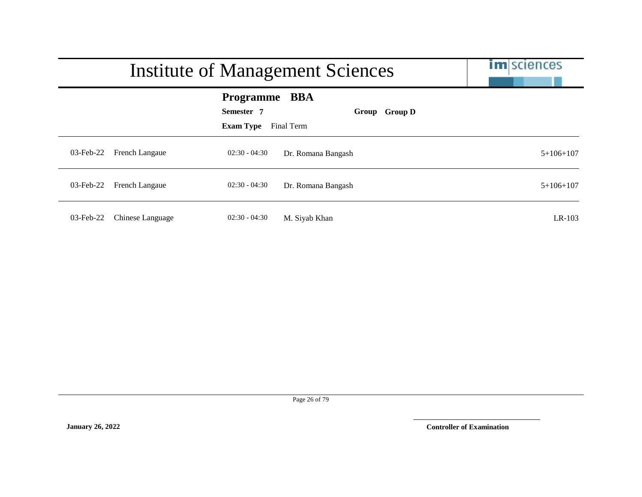|              | <b>Institute of Management Sciences</b>                |                             |             |  |  |
|--------------|--------------------------------------------------------|-----------------------------|-------------|--|--|
|              | <b>Programme BBA</b><br>Semester 7<br><b>Exam Type</b> | Group Group D<br>Final Term |             |  |  |
| $03$ -Feb-22 | $02:30 - 04:30$<br>French Langaue                      | Dr. Romana Bangash          | $5+106+107$ |  |  |
| $03$ -Feb-22 | <b>French Langaue</b><br>$02:30 - 04:30$               | Dr. Romana Bangash          | $5+106+107$ |  |  |
| $03$ -Feb-22 | Chinese Language<br>$02:30 - 04:30$                    | M. Siyab Khan               | LR-103      |  |  |

Page 26 of 79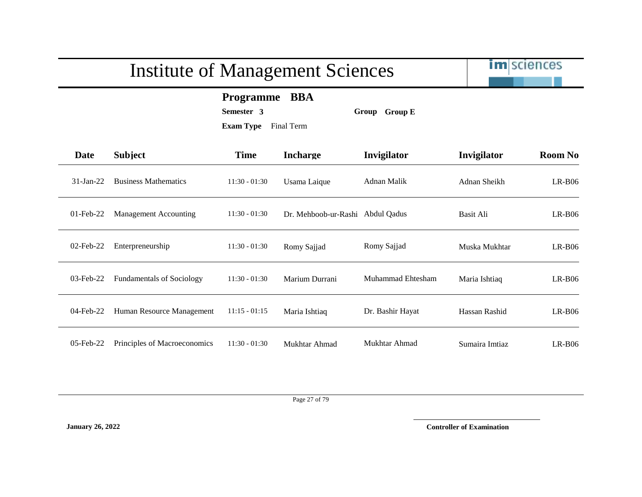im sciences

**Programme BBA**

**Semester 3 Group Group E**

**Exam Type** Final Term

| <b>Date</b>  | <b>Subject</b>                   | <b>Time</b>     | <b>Incharge</b>      | Invigilator       | Invigilator    | <b>Room No</b> |
|--------------|----------------------------------|-----------------|----------------------|-------------------|----------------|----------------|
| $31-Ian-22$  | <b>Business Mathematics</b>      | $11:30 - 01:30$ | Usama Laique         | Adnan Malik       | Adnan Sheikh   | $LR-B06$       |
| $01$ -Feb-22 | Management Accounting            | $11:30 - 01:30$ | Dr. Mehboob-ur-Rashi | Abdul Qadus       | Basit Ali      | $LR-B06$       |
| $02$ -Feb-22 | Enterpreneurship                 | $11:30 - 01:30$ | Romy Sajjad          | Romy Sajjad       | Muska Mukhtar  | $LR-B06$       |
| $03$ -Feb-22 | <b>Fundamentals of Sociology</b> | $11:30 - 01:30$ | Marium Durrani       | Muhammad Ehtesham | Maria Ishtiaq  | $LR-B06$       |
| $04$ -Feb-22 | Human Resource Management        | $11:15 - 01:15$ | Maria Ishtiaq        | Dr. Bashir Hayat  | Hassan Rashid  | $LR-B06$       |
| 05-Feb-22    | Principles of Macroeconomics     | $11:30 - 01:30$ | Mukhtar Ahmad        | Mukhtar Ahmad     | Sumaira Imtiaz | $LR-B06$       |

Page 27 of 79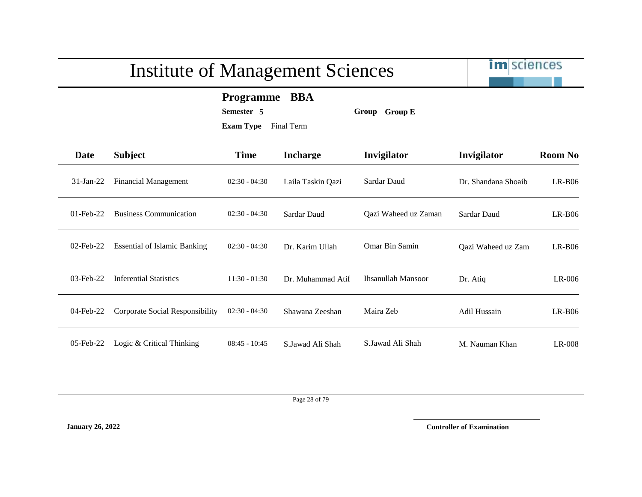im sciences

**Programme BBA**

**Semester 5 Group Group E**

**Exam Type** Final Term

| Date         | <b>Subject</b>                      | <b>Time</b>     | <b>Incharge</b>   | Invigilator          | Invigilator         | <b>Room No</b> |
|--------------|-------------------------------------|-----------------|-------------------|----------------------|---------------------|----------------|
| $31$ -Jan-22 | Financial Management                | $02:30 - 04:30$ | Laila Taskin Qazi | Sardar Daud          | Dr. Shandana Shoaib | $LR-B06$       |
| $01$ -Feb-22 | <b>Business Communication</b>       | $02:30 - 04:30$ | Sardar Daud       | Qazi Waheed uz Zaman | Sardar Daud         | $LR-B06$       |
| 02-Feb-22    | <b>Essential of Islamic Banking</b> | $02:30 - 04:30$ | Dr. Karim Ullah   | Omar Bin Samin       | Qazi Waheed uz Zam  | $LR-B06$       |
| $03$ -Feb-22 | <b>Inferential Statistics</b>       | $11:30 - 01:30$ | Dr. Muhammad Atif | Ihsanullah Mansoor   | Dr. Atiq            | $LR-006$       |
| 04-Feb-22    | Corporate Social Responsibility     | $02:30 - 04:30$ | Shawana Zeeshan   | Maira Zeb            | Adil Hussain        | $LR-B06$       |
| $05$ -Feb-22 | Logic & Critical Thinking           | $08:45 - 10:45$ | S.Jawad Ali Shah  | S.Jawad Ali Shah     | M. Nauman Khan      | LR-008         |

Page 28 of 79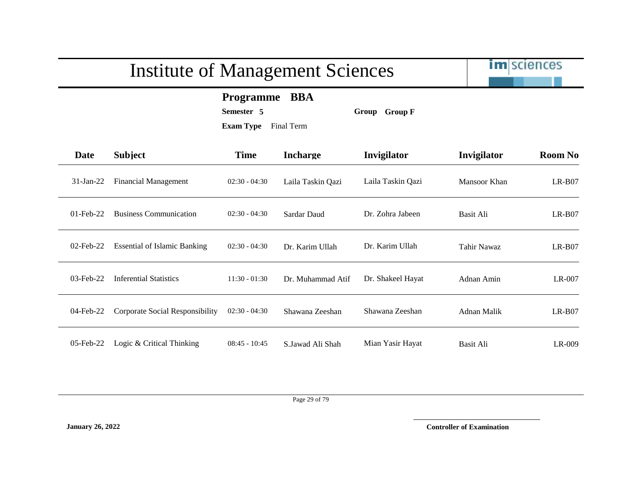im sciences

**Programme BBA**

**Semester 5 Group Group F**

**Exam Type** Final Term

| <b>Date</b>  | <b>Subject</b>                      | <b>Time</b>     | <b>Incharge</b>   | Invigilator       | Invigilator        | <b>Room No</b> |
|--------------|-------------------------------------|-----------------|-------------------|-------------------|--------------------|----------------|
| $31-Jan-22$  | Financial Management                | $02:30 - 04:30$ | Laila Taskin Qazi | Laila Taskin Qazi | Mansoor Khan       | $LR-B07$       |
| $01$ -Feb-22 | <b>Business Communication</b>       | $02:30 - 04:30$ | Sardar Daud       | Dr. Zohra Jabeen  | Basit Ali          | $LR-B07$       |
| $02$ -Feb-22 | <b>Essential of Islamic Banking</b> | $02:30 - 04:30$ | Dr. Karim Ullah   | Dr. Karim Ullah   | <b>Tahir Nawaz</b> | $LR-B07$       |
| $03$ -Feb-22 | <b>Inferential Statistics</b>       | $11:30 - 01:30$ | Dr. Muhammad Atif | Dr. Shakeel Hayat | Adnan Amin         | $LR-007$       |
| 04-Feb-22    | Corporate Social Responsibility     | $02:30 - 04:30$ | Shawana Zeeshan   | Shawana Zeeshan   | Adnan Malik        | $LR-B07$       |
| $05$ -Feb-22 | Logic & Critical Thinking           | $08:45 - 10:45$ | S.Jawad Ali Shah  | Mian Yasir Hayat  | Basit Ali          | LR-009         |

Page 29 of 79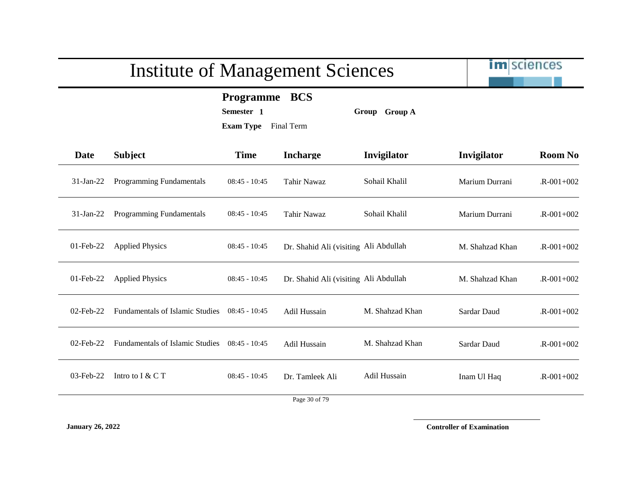im sciences

**Programme BCS**

**Semester 1 Group Group A**

**Exam Type** Final Term

| <b>Date</b>  | <b>Subject</b>                         | <b>Time</b>     | <b>Incharge</b>                       | Invigilator     | Invigilator     | <b>Room No</b>  |
|--------------|----------------------------------------|-----------------|---------------------------------------|-----------------|-----------------|-----------------|
| $31$ -Jan-22 | <b>Programming Fundamentals</b>        | $08:45 - 10:45$ | Tahir Nawaz                           | Sohail Khalil   | Marium Durrani  | $R - 001 + 002$ |
| $31-Jan-22$  | Programming Fundamentals               | $08:45 - 10:45$ | <b>Tahir Nawaz</b>                    | Sohail Khalil   | Marium Durrani  | $R - 001 + 002$ |
| $01$ -Feb-22 | <b>Applied Physics</b>                 | $08:45 - 10:45$ | Dr. Shahid Ali (visiting Ali Abdullah |                 | M. Shahzad Khan | $R - 001 + 002$ |
| $01$ -Feb-22 | <b>Applied Physics</b>                 | $08:45 - 10:45$ | Dr. Shahid Ali (visiting Ali Abdullah |                 | M. Shahzad Khan | $R - 001 + 002$ |
| $02$ -Feb-22 | <b>Fundamentals of Islamic Studies</b> | $08:45 - 10:45$ | Adil Hussain                          | M. Shahzad Khan | Sardar Daud     | $R - 001 + 002$ |
| $02$ -Feb-22 | <b>Fundamentals of Islamic Studies</b> | $08:45 - 10:45$ | Adil Hussain                          | M. Shahzad Khan | Sardar Daud     | $R - 001 + 002$ |
| 03-Feb-22    | Intro to $I & C T$                     | $08:45 - 10:45$ | Dr. Tamleek Ali                       | Adil Hussain    | Inam Ul Haq     | $R - 001 + 002$ |
|              |                                        |                 | $\sim$ $\sim$ $\sim$                  |                 |                 |                 |

Page 30 of 79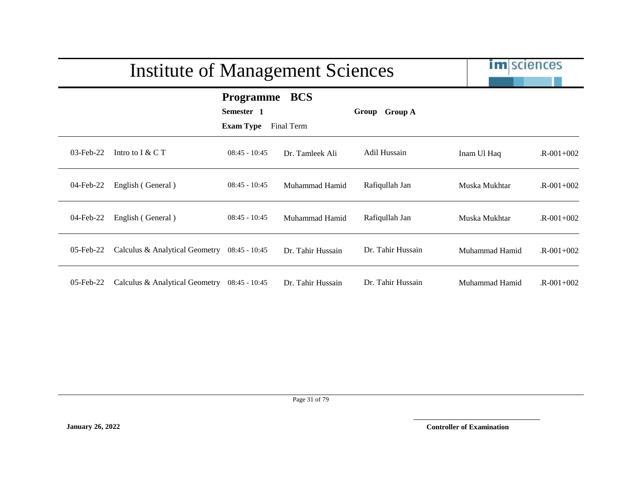|              | <b>Institute of Management Sciences</b>      |                                                    |                          |                   |                | <b>im</b> sciences |
|--------------|----------------------------------------------|----------------------------------------------------|--------------------------|-------------------|----------------|--------------------|
|              |                                              | <b>Programme</b><br>Semester 1<br><b>Exam Type</b> | <b>BCS</b><br>Final Term | Group Group A     |                |                    |
| 03-Feb-22    | Intro to $I & C T$                           | $08:45 - 10:45$                                    | Dr. Tamleek Ali          | Adil Hussain      | Inam Ul Haq    | $R - 001 + 002$    |
| 04-Feb-22    | English (General)                            | $08:45 - 10:45$                                    | Muhammad Hamid           | Rafiqullah Jan    | Muska Mukhtar  | $R - 001 + 002$    |
| 04-Feb-22    | English (General)                            | $08:45 - 10:45$                                    | Muhammad Hamid           | Rafiqullah Jan    | Muska Mukhtar  | $R - 001 + 002$    |
| $05$ -Feb-22 | Calculus & Analytical Geometry               | 08:45 - 10:45                                      | Dr. Tahir Hussain        | Dr. Tahir Hussain | Muhammad Hamid | $R - 001 + 002$    |
| $05$ -Feb-22 | Calculus & Analytical Geometry 08:45 - 10:45 |                                                    | Dr. Tahir Hussain        | Dr. Tahir Hussain | Muhammad Hamid | $R - 001 + 002$    |

Page 31 of 79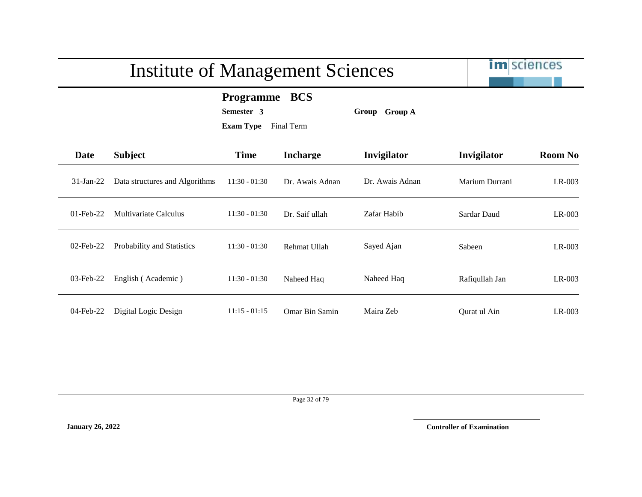im sciences

#### **Programme BCS**

**Semester 3 Group Group A**

**Exam Type** Final Term

| Date         | <b>Subject</b>                 | <b>Time</b>     | <b>Incharge</b>       | Invigilator     | Invigilator    | <b>Room No</b> |
|--------------|--------------------------------|-----------------|-----------------------|-----------------|----------------|----------------|
| $31-Ian-22$  | Data structures and Algorithms | $11:30 - 01:30$ | Dr. Awais Adnan       | Dr. Awais Adnan | Marium Durrani | LR-003         |
| $01$ -Feb-22 | Multivariate Calculus          | $11:30 - 01:30$ | Dr. Saif ullah        | Zafar Habib     | Sardar Daud    | LR-003         |
| $02$ -Feb-22 | Probability and Statistics     | $11:30 - 01:30$ | Rehmat Ullah          | Sayed Ajan      | Sabeen         | LR-003         |
| 03-Feb-22    | English (Academic)             | $11:30 - 01:30$ | Naheed Haq            | Naheed Haq      | Rafiqullah Jan | LR-003         |
| $04$ -Feb-22 | Digital Logic Design           | $11:15 - 01:15$ | <b>Omar Bin Samin</b> | Maira Zeb       | Ourat ul Ain   | $LR-003$       |

Page 32 of 79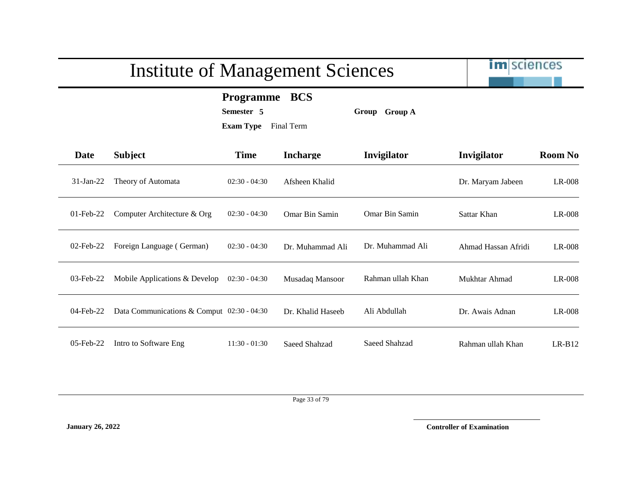# im sciences Institute of Management Sciences **Programme BCS Semester 5 Group Group A Exam Type** Final Term **Date Subject Time Incharge Invigilator Invigilator Room No** 31-Jan-22 Theory of Automata 02:30 - 04:30 Afsheen Khalid Dr. Maryam Jabeen LR-008 01-Feb-22 Computer Architecture & Org 02:30 - 04:30 Omar Bin Samin Omar Bin Samin Sattar Khan LR-008 02-Feb-22 Foreign Language ( German) 02:30 - 04:30 Dr. Muhammad Ali Dr. Muhammad Ali Ahmad Hassan Afridi LR-008 03-Feb-22 Mobile Applications & Develop 02:30 - 04:30 Musadaq Mansoor Rahman ullah Khan Mukhtar Ahmad LR-008 04-Feb-22 Data Communications & Comput 02:30 - 04:30 Dr. Khalid Haseeb Ali Abdullah Dr. Awais Adnan LR-008 05-Feb-22 Intro to Software Eng 11:30 - 01:30 Saeed Shahzad Saeed Shahzad Rahman ullah Khan LR-B12

Page 33 of 79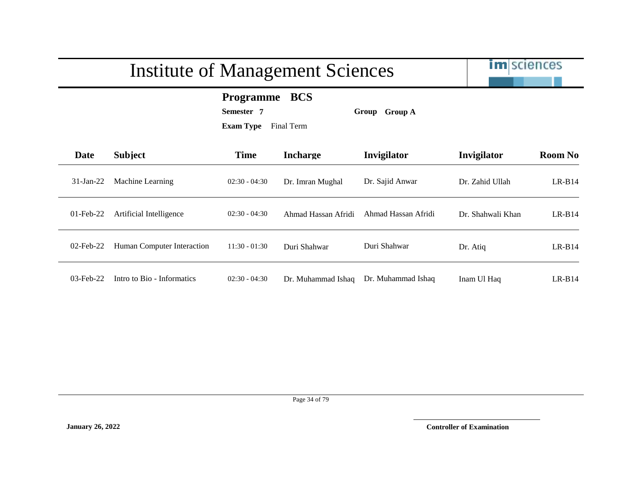

**Programme BCS**

**Semester 7 Group Group A**

**Exam Type** Final Term

| - |
|---|
|   |
|   |
|   |
|   |
|   |

| Date         | <b>Subject</b>             | <b>Time</b>     | <b>Incharge</b>     | Invigilator         | Invigilator       | <b>Room No</b> |
|--------------|----------------------------|-----------------|---------------------|---------------------|-------------------|----------------|
| $31-Ian-22$  | Machine Learning           | $02:30 - 04:30$ | Dr. Imran Mughal    | Dr. Sajid Anwar     | Dr. Zahid Ullah   | $LR-B14$       |
| $01$ -Feb-22 | Artificial Intelligence    | $02:30 - 04:30$ | Ahmad Hassan Afridi | Ahmad Hassan Afridi | Dr. Shahwali Khan | $LR-B14$       |
| $02$ -Feb-22 | Human Computer Interaction | $11:30 - 01:30$ | Duri Shahwar        | Duri Shahwar        | Dr. Atiq          | $LR-B14$       |
| $03$ -Feb-22 | Intro to Bio - Informatics | $02:30 - 04:30$ | Dr. Muhammad Ishaq  | Dr. Muhammad Ishaq  | Inam Ul Haq       | $LR-B14$       |

Page 34 of 79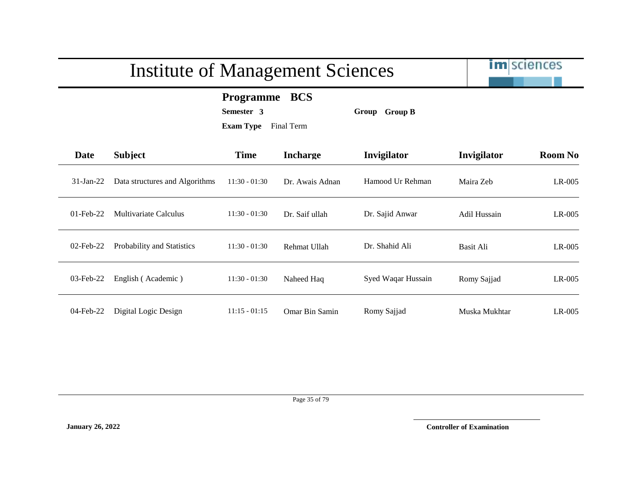im sciences

#### **Programme BCS**

**Semester 3 Group Group B**

**Exam Type** Final Term

| <b>Date</b>  | <b>Subject</b>                 | <b>Time</b>     | <b>Incharge</b> | <b>Invigilator</b> | Invigilator   | <b>Room No</b> |
|--------------|--------------------------------|-----------------|-----------------|--------------------|---------------|----------------|
| $31-Ian-22$  | Data structures and Algorithms | $11:30 - 01:30$ | Dr. Awais Adnan | Hamood Ur Rehman   | Maira Zeb     | LR-005         |
| $01$ -Feb-22 | Multivariate Calculus          | $11:30 - 01:30$ | Dr. Saif ullah  | Dr. Sajid Anwar    | Adil Hussain  | LR-005         |
| $02$ -Feb-22 | Probability and Statistics     | $11:30 - 01:30$ | Rehmat Ullah    | Dr. Shahid Ali     | Basit Ali     | $LR-005$       |
| 03-Feb-22    | English (Academic)             | $11:30 - 01:30$ | Naheed Haq      | Syed Waqar Hussain | Romy Sajjad   | LR-005         |
| 04-Feb-22    | Digital Logic Design           | $11:15 - 01:15$ | Omar Bin Samin  | Romy Sajjad        | Muska Mukhtar | $LR-005$       |

Page 35 of 79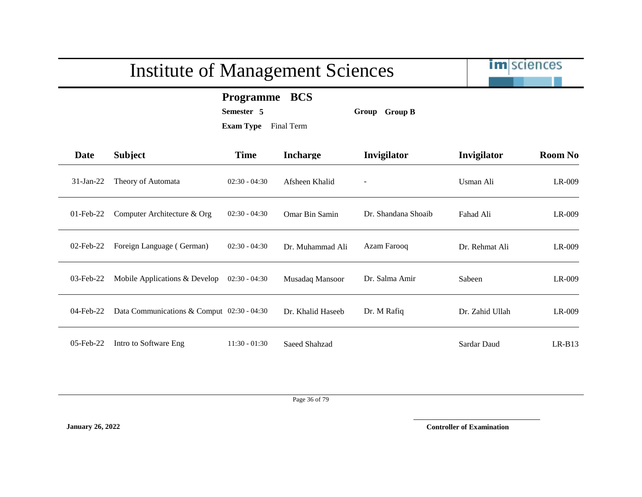im sciences

**Programme BCS**

**Semester 5 Group Group B**

**Exam Type** Final Term

| Date         | <b>Subject</b>                             | <b>Time</b>     | <b>Incharge</b>   | Invigilator              | Invigilator     | <b>Room No</b> |
|--------------|--------------------------------------------|-----------------|-------------------|--------------------------|-----------------|----------------|
| $31$ -Jan-22 | Theory of Automata                         | $02:30 - 04:30$ | Afsheen Khalid    | $\overline{\phantom{a}}$ | Usman Ali       | $LR-009$       |
| $01$ -Feb-22 | Computer Architecture & Org                | $02:30 - 04:30$ | Omar Bin Samin    | Dr. Shandana Shoaib      | Fahad Ali       | $LR-009$       |
| $02$ -Feb-22 | Foreign Language (German)                  | $02:30 - 04:30$ | Dr. Muhammad Ali  | Azam Farooq              | Dr. Rehmat Ali  | $LR-009$       |
| 03-Feb-22    | Mobile Applications & Develop              | $02:30 - 04:30$ | Musadaq Mansoor   | Dr. Salma Amir           | Sabeen          | $LR-009$       |
| 04-Feb-22    | Data Communications & Comput 02:30 - 04:30 |                 | Dr. Khalid Haseeb | Dr. M Rafiq              | Dr. Zahid Ullah | $LR-009$       |
| 05-Feb-22    | Intro to Software Eng                      | $11:30 - 01:30$ | Saeed Shahzad     |                          | Sardar Daud     | $LR-B13$       |

Page 36 of 79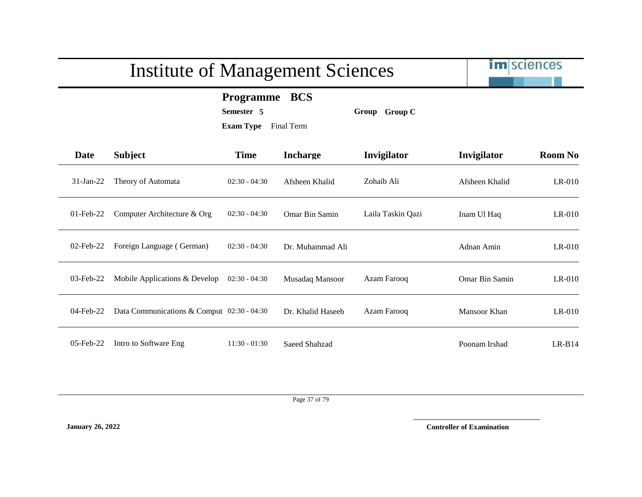im sciences

**Programme BCS**

**Semester 5 Group Group C**

**Exam Type** Final Term

| Date         | <b>Subject</b>                             | <b>Time</b>     | <b>Incharge</b>   | Invigilator       | Invigilator    | <b>Room No</b> |
|--------------|--------------------------------------------|-----------------|-------------------|-------------------|----------------|----------------|
| $31$ -Jan-22 | Theory of Automata                         | $02:30 - 04:30$ | Afsheen Khalid    | Zohaib Ali        | Afsheen Khalid | $LR-010$       |
| $01$ -Feb-22 | Computer Architecture & Org                | $02:30 - 04:30$ | Omar Bin Samin    | Laila Taskin Qazi | Inam Ul Haq    | $LR-010$       |
| 02-Feb-22    | Foreign Language (German)                  | $02:30 - 04:30$ | Dr. Muhammad Ali  |                   | Adnan Amin     | $LR-010$       |
| $03$ -Feb-22 | Mobile Applications & Develop              | $02:30 - 04:30$ | Musadaq Mansoor   | Azam Farooq       | Omar Bin Samin | $LR-010$       |
| $04$ -Feb-22 | Data Communications & Comput 02:30 - 04:30 |                 | Dr. Khalid Haseeb | Azam Farooq       | Mansoor Khan   | $LR-010$       |
| $05$ -Feb-22 | Intro to Software Eng                      | $11:30 - 01:30$ | Saeed Shahzad     |                   | Poonam Irshad  | $LR-B14$       |

Page 37 of 79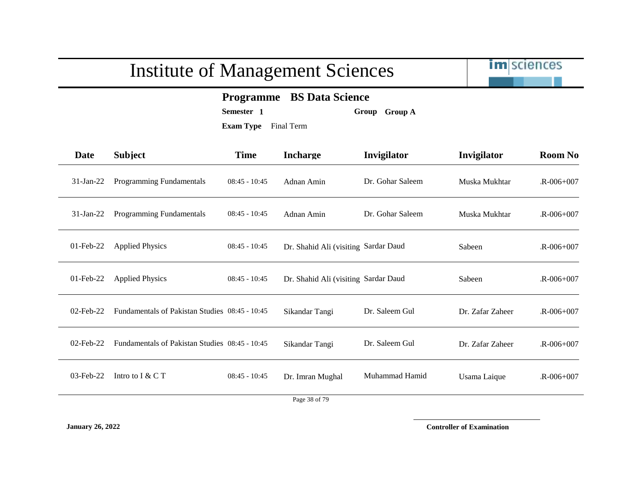

### **Programme BS Data Science**

**Semester 1 Group Group A**

**Exam Type** Final Term

| Date         | <b>Subject</b>                                 | <b>Time</b>     | <b>Incharge</b>                      | Invigilator      | Invigilator      | <b>Room No</b>  |
|--------------|------------------------------------------------|-----------------|--------------------------------------|------------------|------------------|-----------------|
| $31$ -Jan-22 | Programming Fundamentals                       | $08:45 - 10:45$ | Adnan Amin                           | Dr. Gohar Saleem | Muska Mukhtar    | $R - 006 + 007$ |
| $31$ -Jan-22 | Programming Fundamentals                       | $08:45 - 10:45$ | Adnan Amin                           | Dr. Gohar Saleem | Muska Mukhtar    | $R - 006 + 007$ |
| $01$ -Feb-22 | <b>Applied Physics</b>                         | $08:45 - 10:45$ | Dr. Shahid Ali (visiting Sardar Daud |                  | Sabeen           | $R - 006 + 007$ |
| $01$ -Feb-22 | <b>Applied Physics</b>                         | $08:45 - 10:45$ | Dr. Shahid Ali (visiting Sardar Daud |                  | Sabeen           | $R - 006 + 007$ |
| $02$ -Feb-22 | Fundamentals of Pakistan Studies 08:45 - 10:45 |                 | Sikandar Tangi                       | Dr. Saleem Gul   | Dr. Zafar Zaheer | $R - 006 + 007$ |
| 02-Feb-22    | Fundamentals of Pakistan Studies 08:45 - 10:45 |                 | Sikandar Tangi                       | Dr. Saleem Gul   | Dr. Zafar Zaheer | $R - 006 + 007$ |
| 03-Feb-22    | Intro to I & C T                               | $08:45 - 10:45$ | Dr. Imran Mughal                     | Muhammad Hamid   | Usama Laique     | $R - 006 + 007$ |
|              |                                                |                 | $D_{22}$ , 20, $270$                 |                  |                  |                 |

Page 38 of 79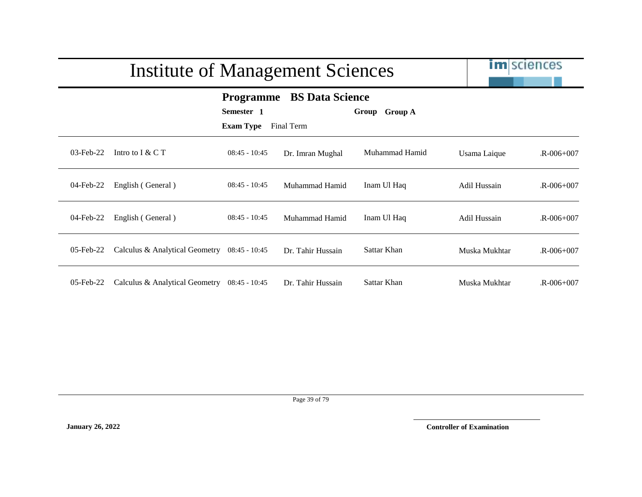|              | <b>Institute of Management Sciences</b>      | <b>im</b> sciences             |                                                |                |               |                 |
|--------------|----------------------------------------------|--------------------------------|------------------------------------------------|----------------|---------------|-----------------|
|              |                                              | Semester 1<br><b>Exam Type</b> | <b>Programme</b> BS Data Science<br>Final Term | Group Group A  |               |                 |
| $03$ -Feb-22 | Intro to $I & C T$                           | $08:45 - 10:45$                | Dr. Imran Mughal                               | Muhammad Hamid | Usama Laique  | $R - 006 + 007$ |
| 04-Feb-22    | English (General)                            | $08:45 - 10:45$                | Muhammad Hamid                                 | Inam Ul Haq    | Adil Hussain  | $R - 006 + 007$ |
| 04-Feb-22    | English (General)                            | $08:45 - 10:45$                | Muhammad Hamid                                 | Inam Ul Haq    | Adil Hussain  | $R - 006 + 007$ |
| 05-Feb-22    | Calculus & Analytical Geometry 08:45 - 10:45 |                                | Dr. Tahir Hussain                              | Sattar Khan    | Muska Mukhtar | $R - 006 + 007$ |
| $05$ -Feb-22 | Calculus & Analytical Geometry 08:45 - 10:45 |                                | Dr. Tahir Hussain                              | Sattar Khan    | Muska Mukhtar | $R - 006 + 007$ |

Page 39 of 79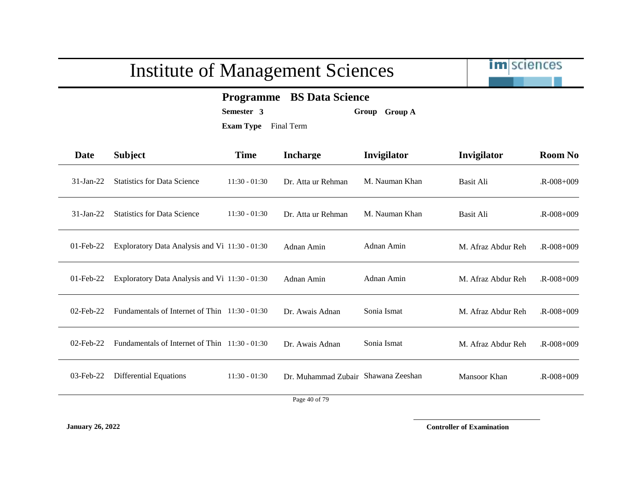

### **Programme BS Data Science**

**Semester 3 Group Group A**

**Exam Type** Final Term

| Date         | <b>Subject</b>                                   | <b>Time</b>     | <b>Incharge</b>                     | Invigilator    | Invigilator        | <b>Room No</b>  |
|--------------|--------------------------------------------------|-----------------|-------------------------------------|----------------|--------------------|-----------------|
| $31$ -Jan-22 | <b>Statistics for Data Science</b>               | $11:30 - 01:30$ | Dr. Atta ur Rehman                  | M. Nauman Khan | Basit Ali          | $R - 008 + 009$ |
| $31-Ian-22$  | <b>Statistics for Data Science</b>               | $11:30 - 01:30$ | Dr. Atta ur Rehman                  | M. Nauman Khan | <b>Basit Ali</b>   | $R - 008 + 009$ |
| $01$ -Feb-22 | Exploratory Data Analysis and Vi 11:30 - 01:30   |                 | Adnan Amin                          | Adnan Amin     | M. Afraz Abdur Reh | $R - 008 + 009$ |
| $01$ -Feb-22 | Exploratory Data Analysis and Vi 11:30 - 01:30   |                 | Adnan Amin                          | Adnan Amin     | M. Afraz Abdur Reh | $R - 008 + 009$ |
| $02$ -Feb-22 | Fundamentals of Internet of Thin 11:30 - 01:30   |                 | Dr. Awais Adnan                     | Sonia Ismat    | M. Afraz Abdur Reh | $R - 008 + 009$ |
| $02$ -Feb-22 | Fundamentals of Internet of Thin $11:30 - 01:30$ |                 | Dr. Awais Adnan                     | Sonia Ismat    | M. Afraz Abdur Reh | $R - 008 + 009$ |
| 03-Feb-22    | <b>Differential Equations</b>                    | $11:30 - 01:30$ | Dr. Muhammad Zubair Shawana Zeeshan |                | Mansoor Khan       | $R - 008 + 009$ |
|              |                                                  |                 |                                     |                |                    |                 |

Page 40 of 79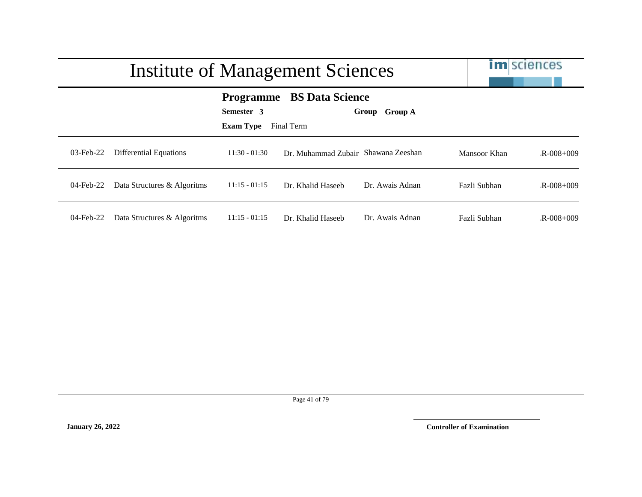|              | Institute of Management Sciences |                                                    |                                      |                  |              | <b>im</b> sciences |
|--------------|----------------------------------|----------------------------------------------------|--------------------------------------|------------------|--------------|--------------------|
|              |                                  | <b>Programme</b><br>Semester 3<br><b>Exam Type</b> | <b>BS Data Science</b><br>Final Term | Group A<br>Group |              |                    |
| $03$ -Feb-22 | Differential Equations           | $11:30 - 01:30$                                    | Dr. Muhammad Zubair Shawana Zeeshan  |                  | Mansoor Khan | $R - 008 + 009$    |
| 04-Feb-22    | Data Structures & Algoritms      | $11:15 - 01:15$                                    | Dr. Khalid Haseeb                    | Dr. Awais Adnan  | Fazli Subhan | $R - 008 + 009$    |
| 04-Feb-22    | Data Structures & Algoritms      | $11:15 - 01:15$                                    | Dr. Khalid Haseeb                    | Dr. Awais Adnan  | Fazli Subhan | $R - 008 + 009$    |

Page 41 of 79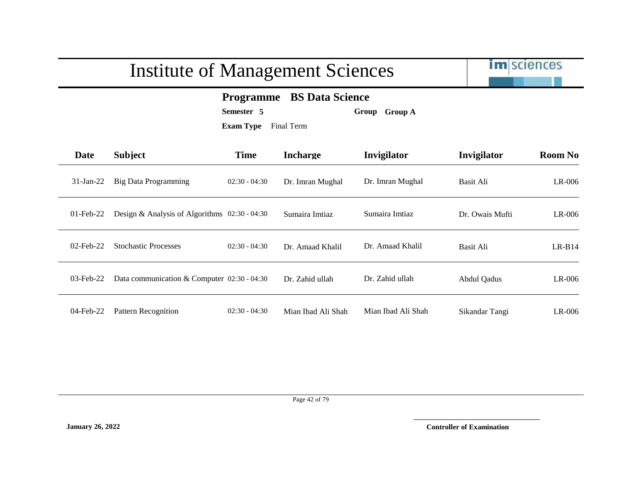

### **Programme BS Data Science**

**Semester 5 Group Group A**

**Exam Type** Final Term

| <b>Date</b>  | <b>Subject</b>                                  | <b>Time</b>     | <b>Incharge</b>    | <b>Invigilator</b> | Invigilator     | <b>Room No</b> |
|--------------|-------------------------------------------------|-----------------|--------------------|--------------------|-----------------|----------------|
| $31-Jan-22$  | <b>Big Data Programming</b>                     | $02:30 - 04:30$ | Dr. Imran Mughal   | Dr. Imran Mughal   | Basit Ali       | $LR-006$       |
| $01$ -Feb-22 | Design & Analysis of Algorithms $02:30 - 04:30$ |                 | Sumaira Imtiaz     | Sumaira Imtiaz     | Dr. Owais Mufti | $LR-006$       |
| $02$ -Feb-22 | <b>Stochastic Processes</b>                     | $02:30 - 04:30$ | Dr. Amaad Khalil   | Dr. Amaad Khalil   | Basit Ali       | $LR-B14$       |
| $03$ -Feb-22 | Data communication & Computer $02:30 - 04:30$   |                 | Dr. Zahid ullah    | Dr. Zahid ullah    | Abdul Qadus     | $LR-006$       |
| 04-Feb-22    | <b>Pattern Recognition</b>                      | $02:30 - 04:30$ | Mian Ibad Ali Shah | Mian Ibad Ali Shah | Sikandar Tangi  | $LR-006$       |

Page 42 of 79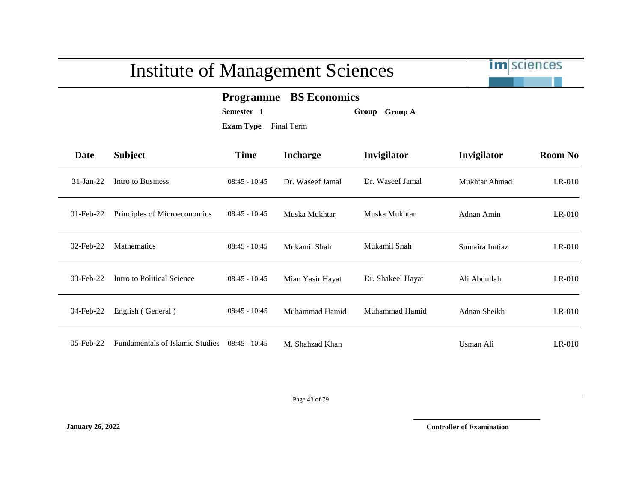

### **Programme BS Economics**

**Semester 1 Group Group A**

**Exam Type** Final Term

| Date         | <b>Subject</b>                         | <b>Time</b>     | <b>Incharge</b>  | Invigilator       | Invigilator    | <b>Room No</b> |
|--------------|----------------------------------------|-----------------|------------------|-------------------|----------------|----------------|
| $31$ -Jan-22 | Intro to Business                      | $08:45 - 10:45$ | Dr. Waseef Jamal | Dr. Waseef Jamal  | Mukhtar Ahmad  | $LR-010$       |
| $01$ -Feb-22 | Principles of Microeconomics           | $08:45 - 10:45$ | Muska Mukhtar    | Muska Mukhtar     | Adnan Amin     | $LR-010$       |
| $02$ -Feb-22 | <b>Mathematics</b>                     | $08:45 - 10:45$ | Mukamil Shah     | Mukamil Shah      | Sumaira Imtiaz | $LR-010$       |
| $03$ -Feb-22 | Intro to Political Science             | $08:45 - 10:45$ | Mian Yasir Hayat | Dr. Shakeel Hayat | Ali Abdullah   | $LR-010$       |
| 04-Feb-22    | English (General)                      | $08:45 - 10:45$ | Muhammad Hamid   | Muhammad Hamid    | Adnan Sheikh   | $LR-010$       |
| $05$ -Feb-22 | <b>Fundamentals of Islamic Studies</b> | $08:45 - 10:45$ | M. Shahzad Khan  |                   | Usman Ali      | $LR-010$       |

Page 43 of 79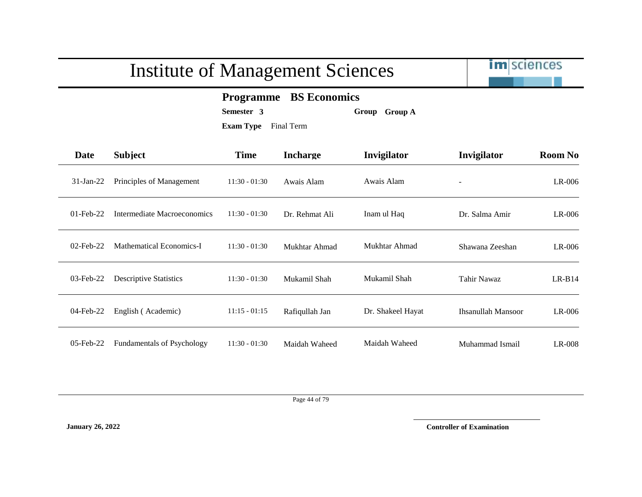

### **Programme BS Economics**

**Semester 3 Group Group A**

**Exam Type** Final Term

| Date         | <b>Subject</b>                    | <b>Time</b>     | <b>Incharge</b> | Invigilator       | Invigilator               | <b>Room No</b> |
|--------------|-----------------------------------|-----------------|-----------------|-------------------|---------------------------|----------------|
| $31$ -Jan-22 | Principles of Management          | $11:30 - 01:30$ | Awais Alam      | Awais Alam        | $\overline{\phantom{a}}$  | $LR-006$       |
| $01$ -Feb-22 | Intermediate Macroeconomics       | $11:30 - 01:30$ | Dr. Rehmat Ali  | Inam ul Haq       | Dr. Salma Amir            | $LR-006$       |
| $02$ -Feb-22 | Mathematical Economics-I          | $11:30 - 01:30$ | Mukhtar Ahmad   | Mukhtar Ahmad     | Shawana Zeeshan           | $LR-006$       |
| 03-Feb-22    | <b>Descriptive Statistics</b>     | $11:30 - 01:30$ | Mukamil Shah    | Mukamil Shah      | Tahir Nawaz               | $LR-B14$       |
| $04$ -Feb-22 | English (Academic)                | $11:15 - 01:15$ | Rafiqullah Jan  | Dr. Shakeel Hayat | <b>Ihsanullah Mansoor</b> | $LR-006$       |
| $05$ -Feb-22 | <b>Fundamentals of Psychology</b> | $11:30 - 01:30$ | Maidah Waheed   | Maidah Waheed     | Muhammad Ismail           | $LR-008$       |

Page 44 of 79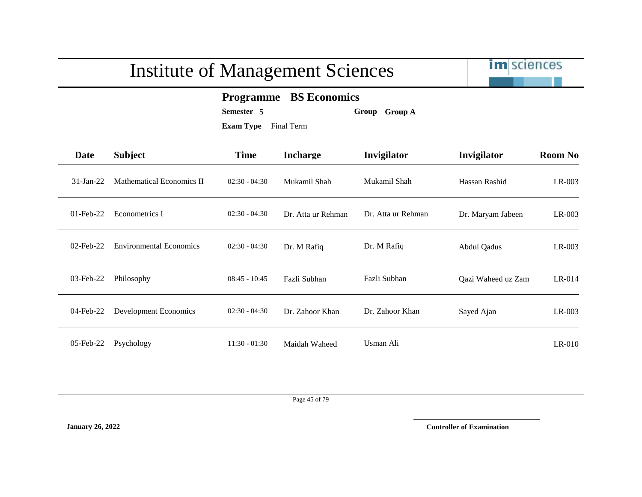

### **Programme BS Economics**

**Semester 5 Group Group A**

**Exam Type** Final Term

| <b>Date</b>  | <b>Subject</b>                 | <b>Time</b>     | <b>Incharge</b>    | Invigilator        | Invigilator        | <b>Room No</b> |
|--------------|--------------------------------|-----------------|--------------------|--------------------|--------------------|----------------|
| $31-Ian-22$  | Mathematical Economics II      | $02:30 - 04:30$ | Mukamil Shah       | Mukamil Shah       | Hassan Rashid      | $LR-003$       |
| $01$ -Feb-22 | Econometrics I                 | $02:30 - 04:30$ | Dr. Atta ur Rehman | Dr. Atta ur Rehman | Dr. Maryam Jabeen  | $LR-003$       |
| $02$ -Feb-22 | <b>Environmental Economics</b> | $02:30 - 04:30$ | Dr. M Rafiq        | Dr. M Rafiq        | Abdul Qadus        | $LR-003$       |
| 03-Feb-22    | Philosophy                     | $08:45 - 10:45$ | Fazli Subhan       | Fazli Subhan       | Qazi Waheed uz Zam | $LR-014$       |
| $04$ -Feb-22 | Development Economics          | $02:30 - 04:30$ | Dr. Zahoor Khan    | Dr. Zahoor Khan    | Sayed Ajan         | $LR-003$       |
| 05-Feb-22    | Psychology                     | $11:30 - 01:30$ | Maidah Waheed      | Usman Ali          |                    | $LR-010$       |

Page 45 of 79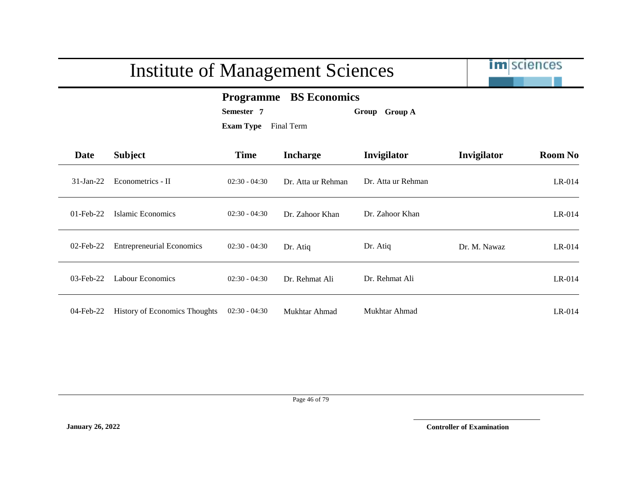|              | Institute of Management Sciences     | <b>im</b> sciences                                                                             |                    |                    |              |                |
|--------------|--------------------------------------|------------------------------------------------------------------------------------------------|--------------------|--------------------|--------------|----------------|
|              |                                      | <b>Programme</b> BS Economics<br>Semester 7<br>Group Group A<br><b>Exam Type</b><br>Final Term |                    |                    |              |                |
| Date         | <b>Subject</b>                       | <b>Time</b>                                                                                    | <b>Incharge</b>    | Invigilator        | Invigilator  | <b>Room No</b> |
| $31$ -Jan-22 | Econometrics - II                    | $02:30 - 04:30$                                                                                | Dr. Atta ur Rehman | Dr. Atta ur Rehman |              | $LR-014$       |
| $01$ -Feb-22 | Islamic Economics                    | $02:30 - 04:30$                                                                                | Dr. Zahoor Khan    | Dr. Zahoor Khan    |              | $LR-014$       |
| $02$ -Feb-22 | <b>Entrepreneurial Economics</b>     | $02:30 - 04:30$                                                                                | Dr. Atiq           | Dr. Atiq           | Dr. M. Nawaz | $LR-014$       |
| $03$ -Feb-22 | Labour Economics                     | $02:30 - 04:30$                                                                                | Dr. Rehmat Ali     | Dr. Rehmat Ali     |              | $LR-014$       |
| 04-Feb-22    | <b>History of Economics Thoughts</b> | $02:30 - 04:30$                                                                                | Mukhtar Ahmad      | Mukhtar Ahmad      |              | $LR-014$       |

#### Page 46 of 79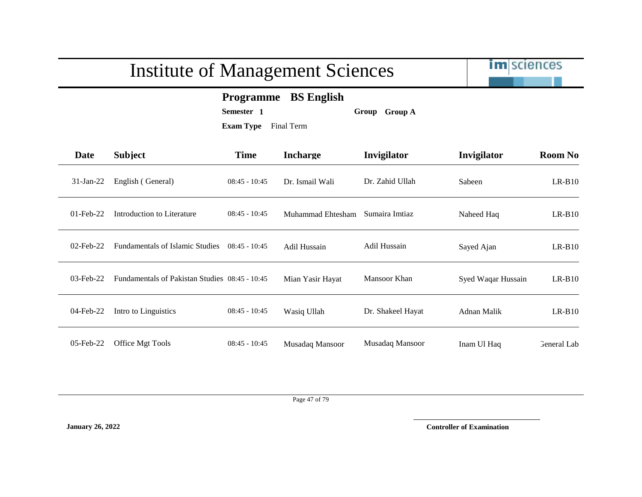

### **Programme BS English**

**Semester 1 Group Group A**

**Exam Type** Final Term

| <b>Date</b>  | <b>Subject</b>                                 | <b>Time</b>     | <b>Incharge</b>   | Invigilator         | Invigilator        | <b>Room No</b> |
|--------------|------------------------------------------------|-----------------|-------------------|---------------------|--------------------|----------------|
| $31$ -Jan-22 | English (General)                              | $08:45 - 10:45$ | Dr. Ismail Wali   | Dr. Zahid Ullah     | Sabeen             | $LR-B10$       |
| $01$ -Feb-22 | Introduction to Literature                     | $08:45 - 10:45$ | Muhammad Ehtesham | Sumaira Imtiaz      | Naheed Haq         | $LR-B10$       |
| $02$ -Feb-22 | <b>Fundamentals of Islamic Studies</b>         | $08:45 - 10:45$ | Adil Hussain      | <b>Adil Hussain</b> | Sayed Ajan         | $LR-B10$       |
| $03$ -Feb-22 | Fundamentals of Pakistan Studies 08:45 - 10:45 |                 | Mian Yasir Hayat  | Mansoor Khan        | Syed Waqar Hussain | $LR-B10$       |
| $04$ -Feb-22 | Intro to Linguistics                           | $08:45 - 10:45$ | Wasiq Ullah       | Dr. Shakeel Hayat   | Adnan Malik        | $LR-B10$       |
| $05$ -Feb-22 | Office Mgt Tools                               | $08:45 - 10:45$ | Musadaq Mansoor   | Musadaq Mansoor     | Inam Ul Haq        | General Lab    |

Page 47 of 79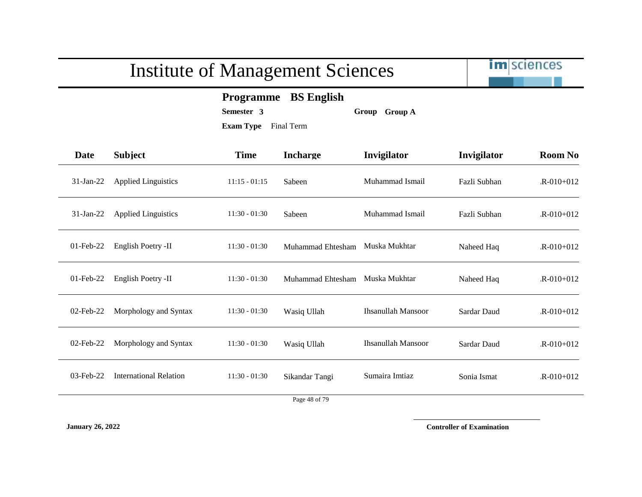

**Programme BS English**

**Semester 3 Group Group A**

**Exam Type** Final Term

| Date         | <b>Subject</b>                | <b>Time</b>     | <b>Incharge</b>   | Invigilator               | Invigilator  | <b>Room No</b>  |
|--------------|-------------------------------|-----------------|-------------------|---------------------------|--------------|-----------------|
| $31$ -Jan-22 | <b>Applied Linguistics</b>    | $11:15 - 01:15$ | Sabeen            | Muhammad Ismail           | Fazli Subhan | $R - 010 + 012$ |
| $31-Jan-22$  | <b>Applied Linguistics</b>    | $11:30 - 01:30$ | Sabeen            | Muhammad Ismail           | Fazli Subhan | $R - 010 + 012$ |
| $01$ -Feb-22 | English Poetry -II            | $11:30 - 01:30$ | Muhammad Ehtesham | Muska Mukhtar             | Naheed Haq   | $R-010+012$     |
| $01$ -Feb-22 | English Poetry -II            | $11:30 - 01:30$ | Muhammad Ehtesham | Muska Mukhtar             | Naheed Haq   | $R-010+012$     |
| 02-Feb-22    | Morphology and Syntax         | $11:30 - 01:30$ | Wasiq Ullah       | <b>Ihsanullah Mansoor</b> | Sardar Daud  | $R - 010 + 012$ |
| $02$ -Feb-22 | Morphology and Syntax         | $11:30 - 01:30$ | Wasiq Ullah       | <b>Ihsanullah Mansoor</b> | Sardar Daud  | $R - 010 + 012$ |
| $03$ -Feb-22 | <b>International Relation</b> | $11:30 - 01:30$ | Sikandar Tangi    | Sumaira Imtiaz            | Sonia Ismat  | $R - 010 + 012$ |
|              |                               |                 |                   |                           |              |                 |

Page 48 of 79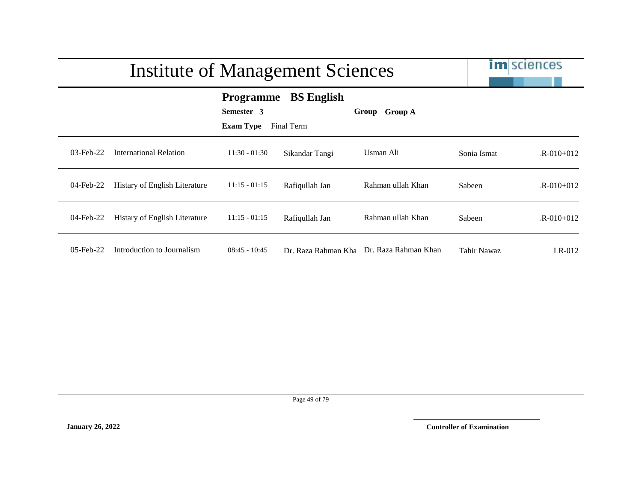|              | <b>Institute of Management Sciences</b> |                                                    | <b>im</b> sciences              |                                          |             |                 |
|--------------|-----------------------------------------|----------------------------------------------------|---------------------------------|------------------------------------------|-------------|-----------------|
|              |                                         | <b>Programme</b><br>Semester 3<br><b>Exam Type</b> | <b>BS</b> English<br>Final Term | Group Group A                            |             |                 |
| $03$ -Feb-22 | <b>International Relation</b>           | $11:30 - 01:30$                                    | Sikandar Tangi                  | Usman Ali                                | Sonia Ismat | $R - 010 + 012$ |
| 04-Feb-22    | <b>Histary of English Literature</b>    | $11:15 - 01:15$                                    | Rafiqullah Jan                  | Rahman ullah Khan                        | Sabeen      | $R-010+012$     |
| 04-Feb-22    | Histary of English Literature           | $11:15 - 01:15$                                    | Rafiqullah Jan                  | Rahman ullah Khan                        | Sabeen      | $R - 010 + 012$ |
| $05$ -Feb-22 | Introduction to Journalism              | $08:45 - 10:45$                                    |                                 | Dr. Raza Rahman Kha Dr. Raza Rahman Khan | Tahir Nawaz | $LR-012$        |

Page 49 of 79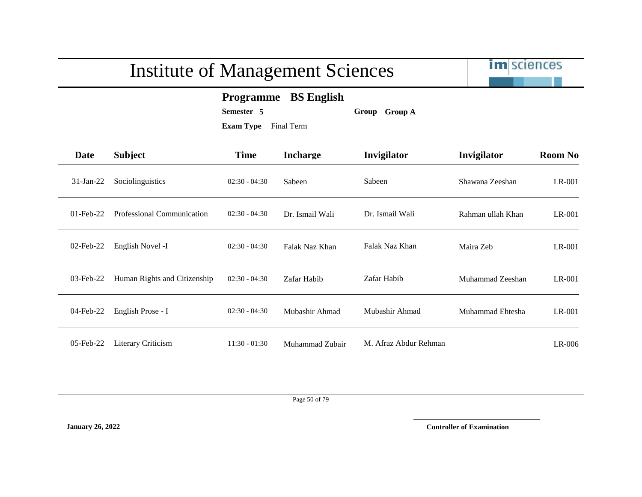

### **Programme BS English**

**Semester 5 Group Group A**

**Exam Type** Final Term

| Date         | <b>Subject</b>               | <b>Time</b>     | <b>Incharge</b> | Invigilator           | Invigilator       | <b>Room No</b> |
|--------------|------------------------------|-----------------|-----------------|-----------------------|-------------------|----------------|
| $31$ -Jan-22 | Sociolinguistics             | $02:30 - 04:30$ | Sabeen          | Sabeen                | Shawana Zeeshan   | LR-001         |
| $01$ -Feb-22 | Professional Communication   | $02:30 - 04:30$ | Dr. Ismail Wali | Dr. Ismail Wali       | Rahman ullah Khan | LR-001         |
| $02$ -Feb-22 | English Novel -I             | $02:30 - 04:30$ | Falak Naz Khan  | Falak Naz Khan        | Maira Zeb         | LR-001         |
| $03$ -Feb-22 | Human Rights and Citizenship | $02:30 - 04:30$ | Zafar Habib     | Zafar Habib           | Muhammad Zeeshan  | $LR-001$       |
| 04-Feb-22    | English Prose - I            | $02:30 - 04:30$ | Mubashir Ahmad  | Mubashir Ahmad        | Muhammad Ehtesha  | $LR-001$       |
| $05$ -Feb-22 | Literary Criticism           | $11:30 - 01:30$ | Muhammad Zubair | M. Afraz Abdur Rehman |                   | $LR-006$       |

Page 50 of 79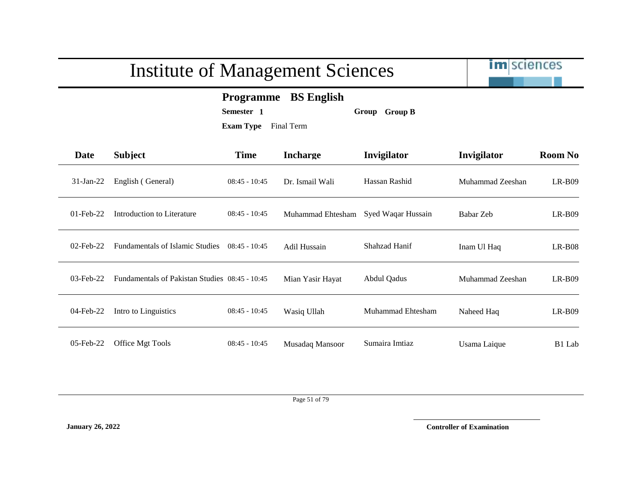|              | <b>Institute of Management Sciences</b>                                                                |                 |                   |                    |                  | <b>im</b> sciences |  |  |
|--------------|--------------------------------------------------------------------------------------------------------|-----------------|-------------------|--------------------|------------------|--------------------|--|--|
|              | <b>BS English</b><br><b>Programme</b><br>Semester 1<br>Group Group B<br><b>Exam Type</b><br>Final Term |                 |                   |                    |                  |                    |  |  |
| <b>Date</b>  | <b>Subject</b>                                                                                         | <b>Time</b>     | <b>Incharge</b>   | Invigilator        | Invigilator      | <b>Room No</b>     |  |  |
| $31$ -Jan-22 | English (General)                                                                                      | $08:45 - 10:45$ | Dr. Ismail Wali   | Hassan Rashid      | Muhammad Zeeshan | $LR-B09$           |  |  |
| $01$ -Feb-22 | Introduction to Literature                                                                             | $08:45 - 10:45$ | Muhammad Ehtesham | Syed Waqar Hussain | Babar Zeb        | $LR-B09$           |  |  |
| $02$ -Feb-22 | <b>Fundamentals of Islamic Studies</b>                                                                 | $08:45 - 10:45$ | Adil Hussain      | Shahzad Hanif      | Inam Ul Haq      | $LR-B08$           |  |  |
| $03$ -Feb-22 | Fundamentals of Pakistan Studies 08:45 - 10:45                                                         |                 | Mian Yasir Hayat  | <b>Abdul Qadus</b> | Muhammad Zeeshan | $LR-B09$           |  |  |
| 04-Feb-22    | Intro to Linguistics                                                                                   | $08:45 - 10:45$ | Wasiq Ullah       | Muhammad Ehtesham  | Naheed Haq       | $LR-B09$           |  |  |
| 05-Feb-22    | Office Mgt Tools                                                                                       | $08:45 - 10:45$ | Musadaq Mansoor   | Sumaira Imtiaz     | Usama Laique     | B1 Lab             |  |  |

Page 51 of 79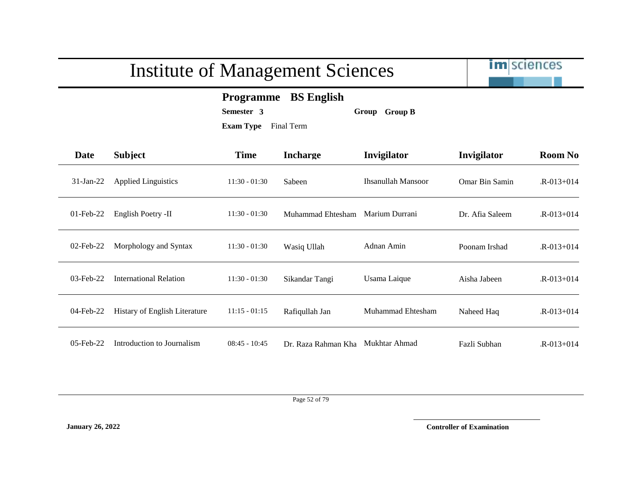

### **Programme BS English**

**Semester 3 Group Group B**

**Exam Type** Final Term

| Date         | <b>Subject</b>                       | <b>Time</b>     | <b>Incharge</b>     | Invigilator               | Invigilator           | <b>Room No</b>  |
|--------------|--------------------------------------|-----------------|---------------------|---------------------------|-----------------------|-----------------|
| $31$ -Jan-22 | <b>Applied Linguistics</b>           | $11:30 - 01:30$ | Sabeen              | <b>Ihsanullah Mansoor</b> | <b>Omar Bin Samin</b> | $R - 013 + 014$ |
| $01$ -Feb-22 | English Poetry -II                   | $11:30 - 01:30$ | Muhammad Ehtesham   | Marium Durrani            | Dr. Afia Saleem       | $R - 013 + 014$ |
| $02$ -Feb-22 | Morphology and Syntax                | $11:30 - 01:30$ | Wasiq Ullah         | Adnan Amin                | Poonam Irshad         | $R - 013 + 014$ |
| $03$ -Feb-22 | International Relation               | $11:30 - 01:30$ | Sikandar Tangi      | Usama Laique              | Aisha Jabeen          | $R - 013 + 014$ |
| 04-Feb-22    | <b>Histary of English Literature</b> | $11:15 - 01:15$ | Rafiqullah Jan      | Muhammad Ehtesham         | Naheed Haq            | $R - 013 + 014$ |
| 05-Feb-22    | Introduction to Journalism           | $08:45 - 10:45$ | Dr. Raza Rahman Kha | Mukhtar Ahmad             | Fazli Subhan          | $R - 013 + 014$ |

Page 52 of 79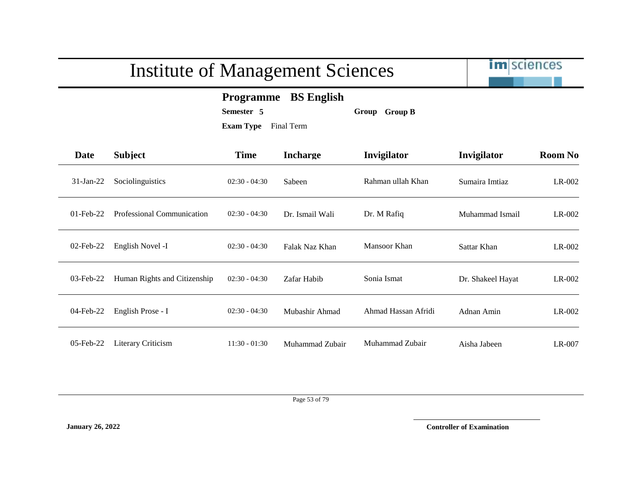

### **Programme BS English**

**Semester 5 Group Group B**

**Exam Type** Final Term

| Date         | <b>Subject</b>               | <b>Time</b>     | <b>Incharge</b> | Invigilator         | Invigilator       | <b>Room No</b> |
|--------------|------------------------------|-----------------|-----------------|---------------------|-------------------|----------------|
| $31$ -Jan-22 | Sociolinguistics             | $02:30 - 04:30$ | Sabeen          | Rahman ullah Khan   | Sumaira Imtiaz    | $LR-002$       |
| $01$ -Feb-22 | Professional Communication   | $02:30 - 04:30$ | Dr. Ismail Wali | Dr. M Rafiq         | Muhammad Ismail   | $LR-002$       |
| $02$ -Feb-22 | English Novel -I             | $02:30 - 04:30$ | Falak Naz Khan  | Mansoor Khan        | Sattar Khan       | $LR-002$       |
| $03$ -Feb-22 | Human Rights and Citizenship | $02:30 - 04:30$ | Zafar Habib     | Sonia Ismat         | Dr. Shakeel Hayat | $LR-002$       |
| $04$ -Feb-22 | English Prose - I            | $02:30 - 04:30$ | Mubashir Ahmad  | Ahmad Hassan Afridi | Adnan Amin        | $LR-002$       |
| $05$ -Feb-22 | Literary Criticism           | $11:30 - 01:30$ | Muhammad Zubair | Muhammad Zubair     | Aisha Jabeen      | $LR-007$       |

Page 53 of 79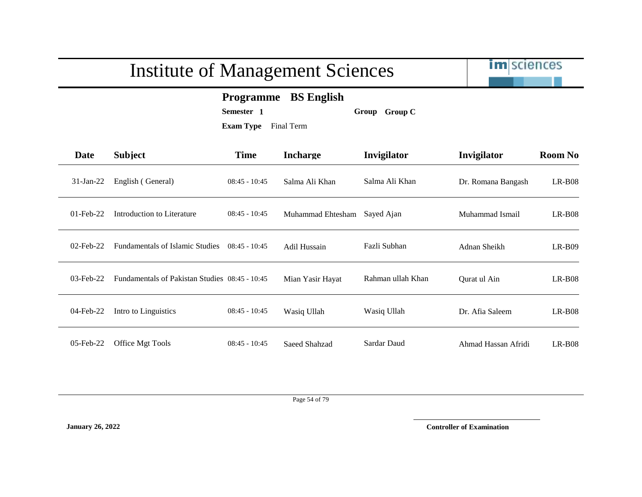| <b>Institute of Management Sciences</b> |                                                                                                        |                 |                   |                   | <b>Im</b> sciences  |                |  |  |  |
|-----------------------------------------|--------------------------------------------------------------------------------------------------------|-----------------|-------------------|-------------------|---------------------|----------------|--|--|--|
|                                         | <b>BS</b> English<br><b>Programme</b><br>Semester 1<br>Group Group C<br><b>Exam Type</b><br>Final Term |                 |                   |                   |                     |                |  |  |  |
| <b>Date</b>                             | <b>Subject</b>                                                                                         | <b>Time</b>     | <b>Incharge</b>   | Invigilator       | Invigilator         | <b>Room No</b> |  |  |  |
| $31-Jan-22$                             | English (General)                                                                                      | $08:45 - 10:45$ | Salma Ali Khan    | Salma Ali Khan    | Dr. Romana Bangash  | $LR-B08$       |  |  |  |
| $01$ -Feb-22                            | Introduction to Literature                                                                             | $08:45 - 10:45$ | Muhammad Ehtesham | Sayed Ajan        | Muhammad Ismail     | $LR-B08$       |  |  |  |
| $02$ -Feb-22                            | <b>Fundamentals of Islamic Studies</b>                                                                 | $08:45 - 10:45$ | Adil Hussain      | Fazli Subhan      | Adnan Sheikh        | $LR-B09$       |  |  |  |
| $03$ -Feb-22                            | Fundamentals of Pakistan Studies 08:45 - 10:45                                                         |                 | Mian Yasir Hayat  | Rahman ullah Khan | Qurat ul Ain        | $LR-B08$       |  |  |  |
| 04-Feb-22                               | Intro to Linguistics                                                                                   | $08:45 - 10:45$ | Wasiq Ullah       | Wasiq Ullah       | Dr. Afia Saleem     | $LR-B08$       |  |  |  |
| 05-Feb-22                               | Office Mgt Tools                                                                                       | $08:45 - 10:45$ | Saeed Shahzad     | Sardar Daud       | Ahmad Hassan Afridi | $LR-B08$       |  |  |  |

Page 54 of 79

**January 26, 2022 Controller of Examination**

-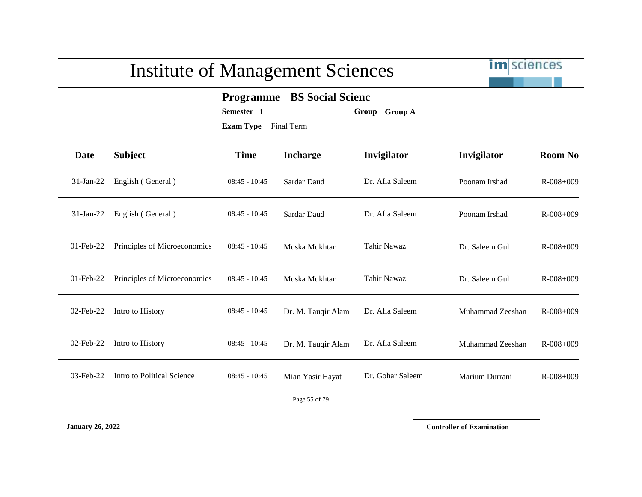

### **Programme BS Social Scienc**

**Semester 1 Group Group A**

**Exam Type** Final Term

| <b>Date</b>  | <b>Subject</b>               | <b>Time</b>     | <b>Incharge</b>    | Invigilator      | Invigilator      | <b>Room No</b>  |
|--------------|------------------------------|-----------------|--------------------|------------------|------------------|-----------------|
| $31-Jan-22$  | English (General)            | $08:45 - 10:45$ | Sardar Daud        | Dr. Afia Saleem  | Poonam Irshad    | $R - 008 + 009$ |
| $31-Jan-22$  | English (General)            | $08:45 - 10:45$ | Sardar Daud        | Dr. Afia Saleem  | Poonam Irshad    | $R - 008 + 009$ |
| $01$ -Feb-22 | Principles of Microeconomics | $08:45 - 10:45$ | Muska Mukhtar      | Tahir Nawaz      | Dr. Saleem Gul   | $R - 008 + 009$ |
| $01$ -Feb-22 | Principles of Microeconomics | $08:45 - 10:45$ | Muska Mukhtar      | Tahir Nawaz      | Dr. Saleem Gul   | $R - 008 + 009$ |
| $02$ -Feb-22 | Intro to History             | $08:45 - 10:45$ | Dr. M. Tauqir Alam | Dr. Afia Saleem  | Muhammad Zeeshan | $R - 008 + 009$ |
| 02-Feb-22    | Intro to History             | $08:45 - 10:45$ | Dr. M. Tauqir Alam | Dr. Afia Saleem  | Muhammad Zeeshan | $R - 008 + 009$ |
| 03-Feb-22    | Intro to Political Science   | $08:45 - 10:45$ | Mian Yasir Hayat   | Dr. Gohar Saleem | Marium Durrani   | $R - 008 + 009$ |
|              |                              |                 |                    |                  |                  |                 |

Page 55 of 79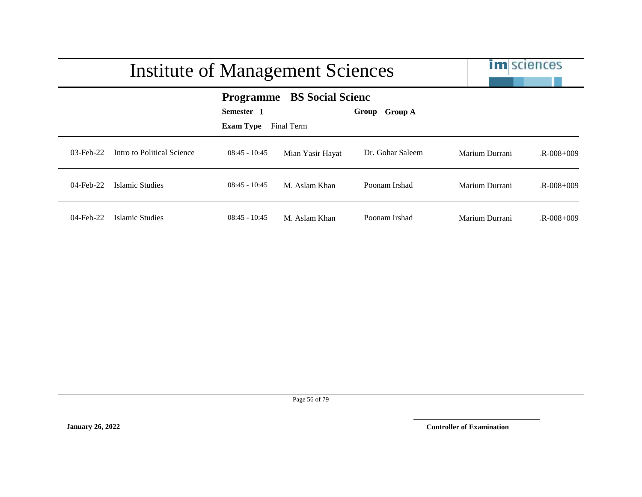|              | Institute of Management Sciences                                                                                       |                 |                  |                  |                | <b>im</b> sciences |  |  |
|--------------|------------------------------------------------------------------------------------------------------------------------|-----------------|------------------|------------------|----------------|--------------------|--|--|
|              | <b>BS Social Scienc</b><br><b>Programme</b><br>Semester 1<br><b>Group A</b><br>Group<br><b>Exam Type</b><br>Final Term |                 |                  |                  |                |                    |  |  |
| $03$ -Feb-22 | Intro to Political Science                                                                                             | $08:45 - 10:45$ | Mian Yasir Hayat | Dr. Gohar Saleem | Marium Durrani | $R - 008 + 009$    |  |  |
| $04$ -Feb-22 | Islamic Studies                                                                                                        | $08:45 - 10:45$ | M. Aslam Khan    | Poonam Irshad    | Marium Durrani | $R - 008 + 009$    |  |  |
| $04$ -Feb-22 | Islamic Studies                                                                                                        | $08:45 - 10:45$ | M. Aslam Khan    | Poonam Irshad    | Marium Durrani | $R - 008 + 009$    |  |  |

Page 56 of 79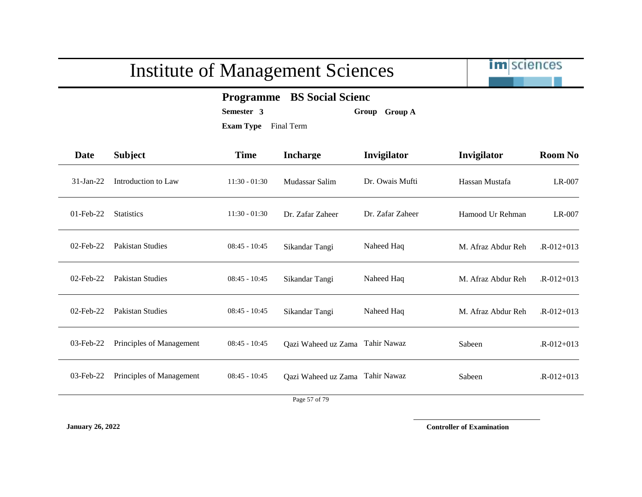

### **Programme BS Social Scienc**

**Semester 3 Group Group A**

**Exam Type** Final Term

| Date         | <b>Subject</b>           | <b>Time</b>     | <b>Incharge</b>                 | Invigilator      | Invigilator        | <b>Room No</b>  |
|--------------|--------------------------|-----------------|---------------------------------|------------------|--------------------|-----------------|
| $31$ -Jan-22 | Introduction to Law      | $11:30 - 01:30$ | Mudassar Salim                  | Dr. Owais Mufti  | Hassan Mustafa     | LR-007          |
| $01$ -Feb-22 | <b>Statistics</b>        | $11:30 - 01:30$ | Dr. Zafar Zaheer                | Dr. Zafar Zaheer | Hamood Ur Rehman   | LR-007          |
| $02$ -Feb-22 | Pakistan Studies         | $08:45 - 10:45$ | Sikandar Tangi                  | Naheed Haq       | M. Afraz Abdur Reh | $R - 012 + 013$ |
| $02$ -Feb-22 | Pakistan Studies         | $08:45 - 10:45$ | Sikandar Tangi                  | Naheed Haq       | M. Afraz Abdur Reh | $R - 012 + 013$ |
| $02$ -Feb-22 | <b>Pakistan Studies</b>  | $08:45 - 10:45$ | Sikandar Tangi                  | Naheed Haq       | M. Afraz Abdur Reh | $R - 012 + 013$ |
| $03$ -Feb-22 | Principles of Management | $08:45 - 10:45$ | Qazi Waheed uz Zama Tahir Nawaz |                  | Sabeen             | $R - 012 + 013$ |
| 03-Feb-22    | Principles of Management | $08:45 - 10:45$ | Qazi Waheed uz Zama Tahir Nawaz |                  | Sabeen             | $R - 012 + 013$ |

Page 57 of 79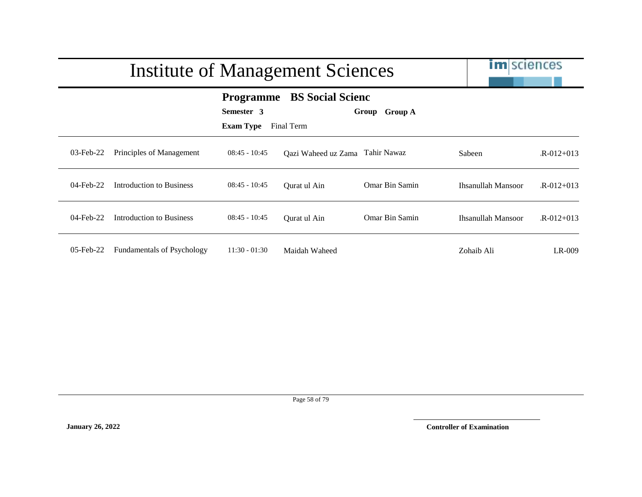|              | Institute of Management Sciences  |                                                    |                                       |                         |                    | <b>im</b> sciences |
|--------------|-----------------------------------|----------------------------------------------------|---------------------------------------|-------------------------|--------------------|--------------------|
|              |                                   | <b>Programme</b><br>Semester 3<br><b>Exam Type</b> | <b>BS</b> Social Scienc<br>Final Term | Group<br><b>Group A</b> |                    |                    |
| 03-Feb-22    | Principles of Management          | $08:45 - 10:45$                                    | Qazi Waheed uz Zama Tahir Nawaz       |                         | Sabeen             | $R - 012 + 013$    |
| $04$ -Feb-22 | Introduction to Business          | $08:45 - 10:45$                                    | Qurat ul Ain                          | Omar Bin Samin          | Ihsanullah Mansoor | $R - 012 + 013$    |
| 04-Feb-22    | Introduction to Business          | $08:45 - 10:45$                                    | Qurat ul Ain                          | Omar Bin Samin          | Ihsanullah Mansoor | $R - 012 + 013$    |
| $05$ -Feb-22 | <b>Fundamentals of Psychology</b> | $11:30 - 01:30$                                    | Maidah Waheed                         |                         | Zohaib Ali         | LR-009             |

Page 58 of 79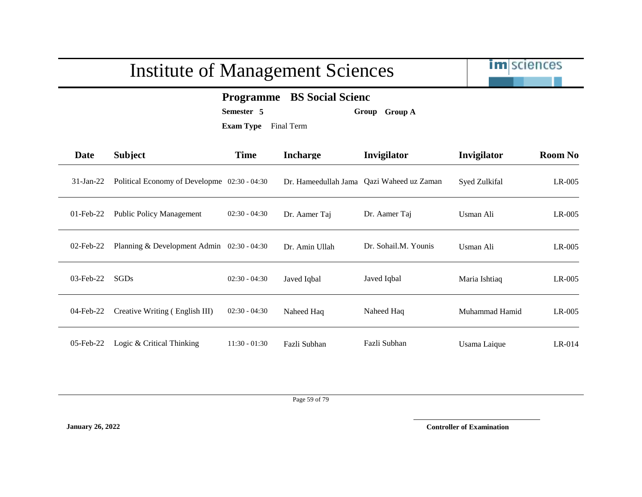

### **Programme BS Social Scienc**

**Semester 5 Group Group A**

**Exam Type** Final Term

| <b>Date</b>  | <b>Subject</b>                               | <b>Time</b>     | <b>Incharge</b>      | Invigilator          | Invigilator    | <b>Room No</b> |
|--------------|----------------------------------------------|-----------------|----------------------|----------------------|----------------|----------------|
| $31$ -Jan-22 | Political Economy of Developme 02:30 - 04:30 |                 | Dr. Hameedullah Jama | Qazi Waheed uz Zaman | Syed Zulkifal  | $LR-005$       |
| $01$ -Feb-22 | <b>Public Policy Management</b>              | $02:30 - 04:30$ | Dr. Aamer Taj        | Dr. Aamer Taj        | Usman Ali      | $LR-005$       |
| $02$ -Feb-22 | Planning & Development Admin 02:30 - 04:30   |                 | Dr. Amin Ullah       | Dr. Sohail.M. Younis | Usman Ali      | $LR-005$       |
| $03$ -Feb-22 | SGDs                                         | $02:30 - 04:30$ | Javed Iqbal          | Javed Iqbal          | Maria Ishtiaq  | $LR-005$       |
| 04-Feb-22    | Creative Writing (English III)               | $02:30 - 04:30$ | Naheed Haq           | Naheed Haq           | Muhammad Hamid | $LR-005$       |
| $05$ -Feb-22 | Logic & Critical Thinking                    | $11:30 - 01:30$ | Fazli Subhan         | Fazli Subhan         | Usama Laique   | $LR-014$       |

Page 59 of 79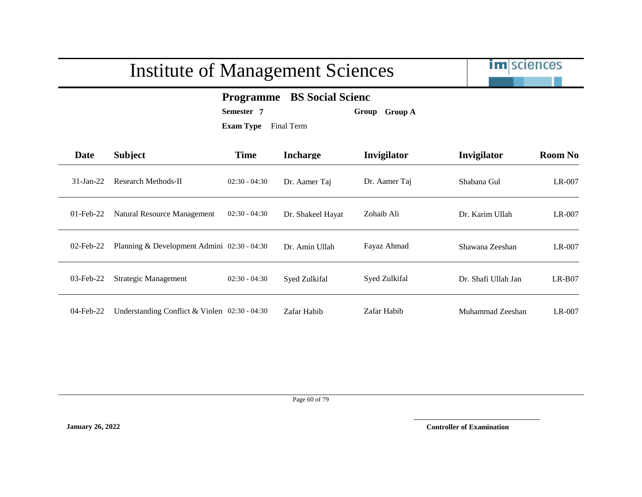

### **Programme BS Social Scienc**

**Semester 7 Group Group A**

**Exam Type** Final Term

| <b>Date</b>  | <b>Subject</b>                                | <b>Time</b>     | <b>Incharge</b>   | <b>Invigilator</b> | Invigilator         | <b>Room No</b> |
|--------------|-----------------------------------------------|-----------------|-------------------|--------------------|---------------------|----------------|
| $31-Ian-22$  | Research Methods-II                           | $02:30 - 04:30$ | Dr. Aamer Taj     | Dr. Aamer Taj      | Shabana Gul         | LR-007         |
| $01$ -Feb-22 | Natural Resource Management                   | $02:30 - 04:30$ | Dr. Shakeel Hayat | Zohaib Ali         | Dr. Karim Ullah     | LR-007         |
| $02$ -Feb-22 | Planning & Development Admini 02:30 - 04:30   |                 | Dr. Amin Ullah    | Fayaz Ahmad        | Shawana Zeeshan     | $LR-007$       |
| 03-Feb-22    | <b>Strategic Management</b>                   | $02:30 - 04:30$ | Syed Zulkifal     | Syed Zulkifal      | Dr. Shafi Ullah Jan | $LR-BO7$       |
| $04$ -Feb-22 | Understanding Conflict & Violen 02:30 - 04:30 |                 | Zafar Habib       | Zafar Habib        | Muhammad Zeeshan    | $LR-007$       |

Page 60 of 79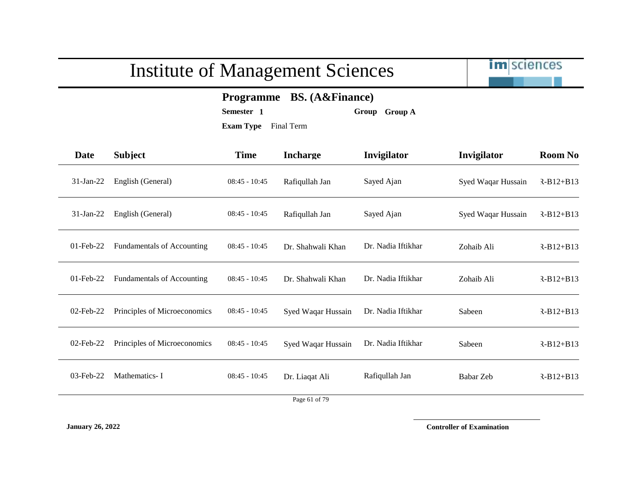

### **Programme BS. (A&Finance)**

**Semester 1 Group Group A**

**Exam Type** Final Term

| <b>Date</b>  | <b>Subject</b>                    | <b>Time</b>     | <b>Incharge</b>    | Invigilator        | Invigilator        | <b>Room No</b> |
|--------------|-----------------------------------|-----------------|--------------------|--------------------|--------------------|----------------|
| $31-Jan-22$  | English (General)                 | $08:45 - 10:45$ | Rafiqullah Jan     | Sayed Ajan         | Syed Waqar Hussain | $R-B12+B13$    |
| $31-Jan-22$  | English (General)                 | $08:45 - 10:45$ | Rafiqullah Jan     | Sayed Ajan         | Syed Waqar Hussain | $R-B12+B13$    |
| 01-Feb-22    | <b>Fundamentals of Accounting</b> | $08:45 - 10:45$ | Dr. Shahwali Khan  | Dr. Nadia Iftikhar | Zohaib Ali         | $R-B12+B13$    |
| 01-Feb-22    | <b>Fundamentals of Accounting</b> | $08:45 - 10:45$ | Dr. Shahwali Khan  | Dr. Nadia Iftikhar | Zohaib Ali         | $R-B12+B13$    |
| 02-Feb-22    | Principles of Microeconomics      | $08:45 - 10:45$ | Syed Waqar Hussain | Dr. Nadia Iftikhar | Sabeen             | $R-B12+B13$    |
| $02$ -Feb-22 | Principles of Microeconomics      | $08:45 - 10:45$ | Syed Waqar Hussain | Dr. Nadia Iftikhar | Sabeen             | $R-B12+B13$    |
| 03-Feb-22    | Mathematics-I                     | $08:45 - 10:45$ | Dr. Liaqat Ali     | Rafiqullah Jan     | Babar Zeb          | $R-B12+B13$    |
|              |                                   |                 | Page 61 of 79      |                    |                    |                |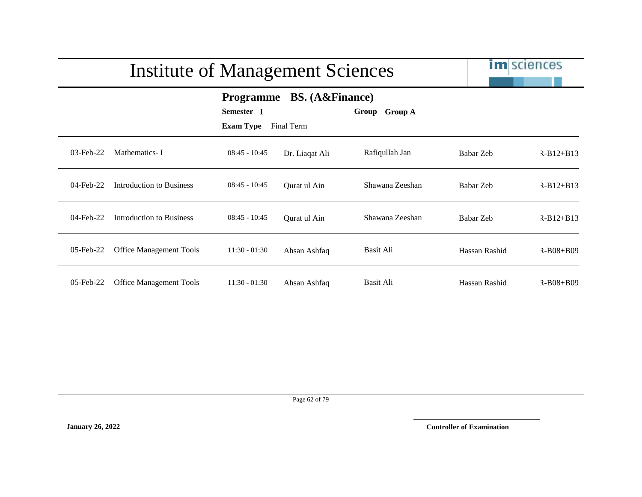|           | <b>Institute of Management Sciences</b> |                                                    | <b>im</b> sciences                   |                         |               |                 |
|-----------|-----------------------------------------|----------------------------------------------------|--------------------------------------|-------------------------|---------------|-----------------|
|           |                                         | <b>Programme</b><br>Semester 1<br><b>Exam Type</b> | <b>BS.</b> (A&Finance)<br>Final Term | <b>Group A</b><br>Group |               |                 |
| 03-Feb-22 | Mathematics-I                           | $08:45 - 10:45$                                    | Dr. Liaqat Ali                       | Rafiqullah Jan          | Babar Zeb     | $R-B12+B13$     |
| 04-Feb-22 | Introduction to Business                | $08:45 - 10:45$                                    | Qurat ul Ain                         | Shawana Zeeshan         | Babar Zeb     | $R-B12+B13$     |
| 04-Feb-22 | Introduction to Business                | $08:45 - 10:45$                                    | Qurat ul Ain                         | Shawana Zeeshan         | Babar Zeb     | $R-B12+B13$     |
| 05-Feb-22 | <b>Office Management Tools</b>          | $11:30 - 01:30$                                    | Ahsan Ashfaq                         | Basit Ali               | Hassan Rashid | $R - B08 + B09$ |
| 05-Feb-22 | <b>Office Management Tools</b>          | $11:30 - 01:30$                                    | Ahsan Ashfaq                         | Basit Ali               | Hassan Rashid | $R - B08 + B09$ |

Page 62 of 79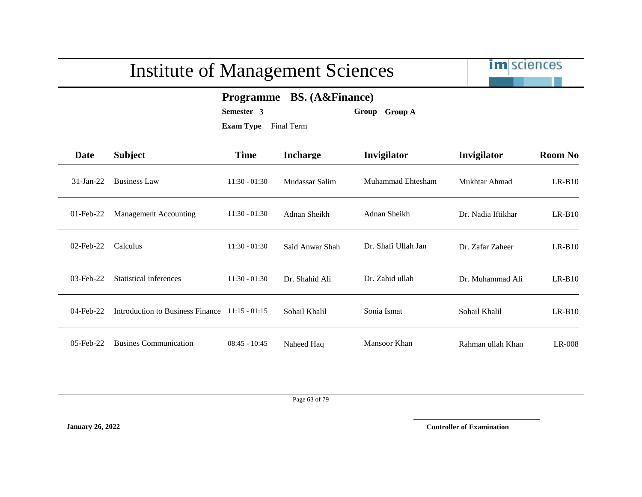

### **Programme BS. (A&Finance)**

**Semester 3 Group Group A**

**Exam Type** Final Term

| Date         | <b>Subject</b>                   | <b>Time</b>     | <b>Incharge</b> | Invigilator         | Invigilator        | <b>Room No</b> |
|--------------|----------------------------------|-----------------|-----------------|---------------------|--------------------|----------------|
| $31$ -Jan-22 | <b>Business Law</b>              | $11:30 - 01:30$ | Mudassar Salim  | Muhammad Ehtesham   | Mukhtar Ahmad      | $LR-B10$       |
| $01$ -Feb-22 | Management Accounting            | $11:30 - 01:30$ | Adnan Sheikh    | Adnan Sheikh        | Dr. Nadia Iftikhar | $LR-B10$       |
| $02$ -Feb-22 | Calculus                         | $11:30 - 01:30$ | Said Anwar Shah | Dr. Shafi Ullah Jan | Dr. Zafar Zaheer   | $LR-B10$       |
| $03$ -Feb-22 | Statistical inferences           | $11:30 - 01:30$ | Dr. Shahid Ali  | Dr. Zahid ullah     | Dr. Muhammad Ali   | $LR-B10$       |
| 04-Feb-22    | Introduction to Business Finance | $11:15 - 01:15$ | Sohail Khalil   | Sonia Ismat         | Sohail Khalil      | $LR-B10$       |
| 05-Feb-22    | <b>Busines Communication</b>     | $08:45 - 10:45$ | Naheed Haq      | Mansoor Khan        | Rahman ullah Khan  | $LR-008$       |

Page 63 of 79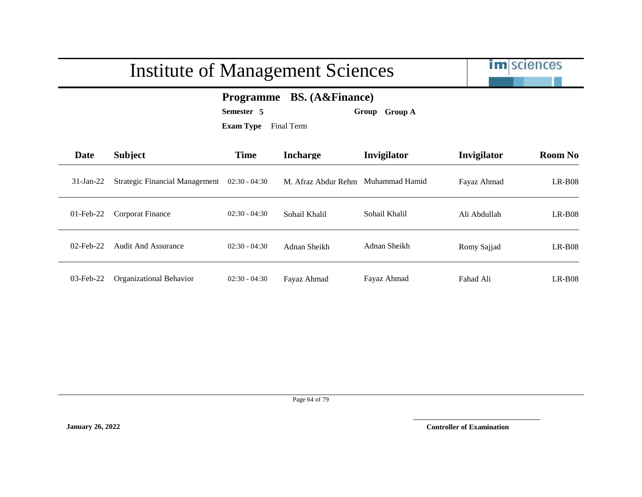|              | <b>Institute of Management Sciences</b> |                 |                     |                |              | <b>im</b> sciences |
|--------------|-----------------------------------------|-----------------|---------------------|----------------|--------------|--------------------|
|              | <b>Programme</b>                        |                 |                     |                |              |                    |
| Date         | <b>Subject</b>                          | <b>Time</b>     | <b>Incharge</b>     | Invigilator    | Invigilator  | <b>Room No</b>     |
| $31$ -Jan-22 | <b>Strategic Financial Management</b>   | $02:30 - 04:30$ | M. Afraz Abdur Rehm | Muhammad Hamid | Fayaz Ahmad  | $LR-B08$           |
| $01$ -Feb-22 | Corporat Finance                        | $02:30 - 04:30$ | Sohail Khalil       | Sohail Khalil  | Ali Abdullah | $LR-B08$           |
| $02$ -Feb-22 | <b>Audit And Assurance</b>              | $02:30 - 04:30$ | Adnan Sheikh        | Adnan Sheikh   | Romy Sajjad  | $LR-B08$           |
| 03-Feb-22    | Organizational Behavior                 | $02:30 - 04:30$ | Fayaz Ahmad         | Fayaz Ahmad    | Fahad Ali    | $LR-B08$           |

Page 64 of 79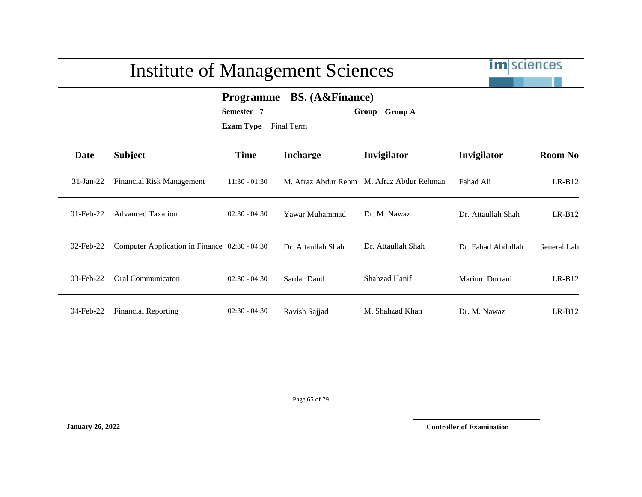

### **Programme BS. (A&Finance)**

**Semester 7 Group Group A**

**Exam Type** Final Term

| Date         | <b>Subject</b>                                | <b>Time</b>     | <b>Incharge</b>     | Invigilator           | Invigilator        | <b>Room No</b> |
|--------------|-----------------------------------------------|-----------------|---------------------|-----------------------|--------------------|----------------|
| $31$ -Jan-22 | Financial Risk Management                     | $11:30 - 01:30$ | M. Afraz Abdur Rehm | M. Afraz Abdur Rehman | Fahad Ali          | $LR-B12$       |
| $01$ -Feb-22 | <b>Advanced Taxation</b>                      | $02:30 - 04:30$ | Yawar Muhammad      | Dr. M. Nawaz          | Dr. Attaullah Shah | $LR-B12$       |
| $02$ -Feb-22 | Computer Application in Finance 02:30 - 04:30 |                 | Dr. Attaullah Shah  | Dr. Attaullah Shah    | Dr. Fahad Abdullah | General Lab    |
| $03$ -Feb-22 | Oral Communicaton                             | $02:30 - 04:30$ | Sardar Daud         | Shahzad Hanif         | Marium Durrani     | $LR-B12$       |
| 04-Feb-22    | <b>Financial Reporting</b>                    | $02:30 - 04:30$ | Ravish Sajjad       | M. Shahzad Khan       | Dr. M. Nawaz       | $LR-B12$       |

Page 65 of 79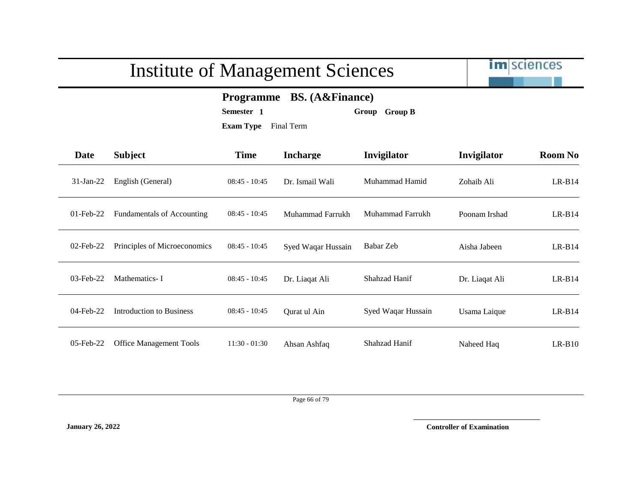

### **Programme BS. (A&Finance)**

**Semester 1 Group Group B**

**Exam Type** Final Term

| Date         | <b>Subject</b>                    | <b>Time</b>     | <b>Incharge</b>    | Invigilator        | Invigilator    | <b>Room No</b> |
|--------------|-----------------------------------|-----------------|--------------------|--------------------|----------------|----------------|
| $31$ -Jan-22 | English (General)                 | $08:45 - 10:45$ | Dr. Ismail Wali    | Muhammad Hamid     | Zohaib Ali     | $LR-B14$       |
| $01$ -Feb-22 | <b>Fundamentals of Accounting</b> | $08:45 - 10:45$ | Muhammad Farrukh   | Muhammad Farrukh   | Poonam Irshad  | $LR-B14$       |
| $02$ -Feb-22 | Principles of Microeconomics      | $08:45 - 10:45$ | Syed Waqar Hussain | Babar Zeb          | Aisha Jabeen   | $LR-B14$       |
| $03$ -Feb-22 | Mathematics-I                     | $08:45 - 10:45$ | Dr. Liagat Ali     | Shahzad Hanif      | Dr. Liaqat Ali | $LR-B14$       |
| 04-Feb-22    | Introduction to Business          | $08:45 - 10:45$ | Ourat ul Ain       | Syed Waqar Hussain | Usama Laique   | $LR-B14$       |
| $05$ -Feb-22 | <b>Office Management Tools</b>    | $11:30 - 01:30$ | Ahsan Ashfaq       | Shahzad Hanif      | Naheed Haq     | $LR-B10$       |

Page 66 of 79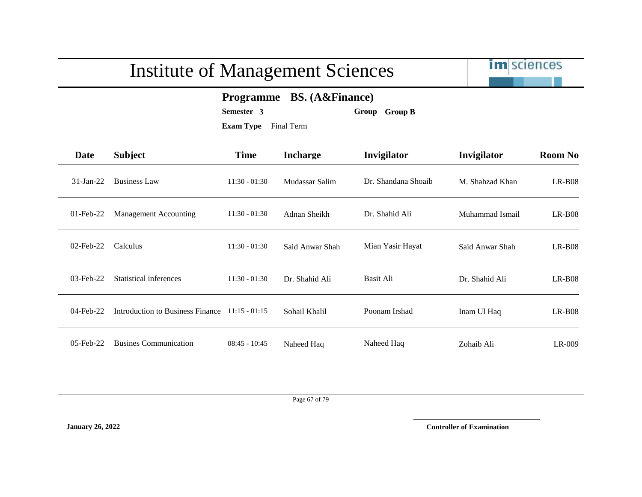im sciences

### **Programme BS. (A&Finance)**

**Semester 3 Group Group B**

**Exam Type** Final Term

| Date         | <b>Subject</b>                   | <b>Time</b>     | <b>Incharge</b> | Invigilator         | Invigilator     | <b>Room No</b> |
|--------------|----------------------------------|-----------------|-----------------|---------------------|-----------------|----------------|
| $31-Ian-22$  | <b>Business Law</b>              | $11:30 - 01:30$ | Mudassar Salim  | Dr. Shandana Shoaib | M. Shahzad Khan | $LR-B08$       |
| $01$ -Feb-22 | <b>Management Accounting</b>     | $11:30 - 01:30$ | Adnan Sheikh    | Dr. Shahid Ali      | Muhammad Ismail | $LR-B08$       |
| $02$ -Feb-22 | Calculus                         | $11:30 - 01:30$ | Said Anwar Shah | Mian Yasir Hayat    | Said Anwar Shah | $LR-B08$       |
| $03$ -Feb-22 | Statistical inferences           | $11:30 - 01:30$ | Dr. Shahid Ali  | Basit Ali           | Dr. Shahid Ali  | $LR-B08$       |
| 04-Feb-22    | Introduction to Business Finance | $11:15 - 01:15$ | Sohail Khalil   | Poonam Irshad       | Inam Ul Haq     | $LR-B08$       |
| $05$ -Feb-22 | <b>Busines Communication</b>     | $08:45 - 10:45$ | Naheed Haq      | Naheed Haq          | Zohaib Ali      | $LR-009$       |

Page 67 of 79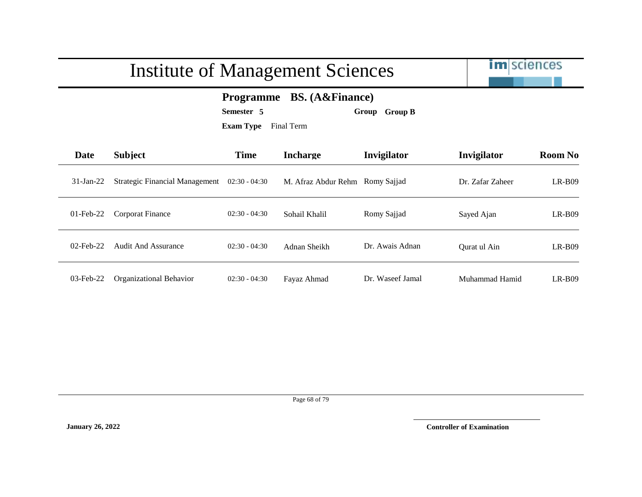|              | <b>Institute of Management Sciences</b> |                                |                                                                                     |                  |                  | <b>im</b> sciences |
|--------------|-----------------------------------------|--------------------------------|-------------------------------------------------------------------------------------|------------------|------------------|--------------------|
|              |                                         | Semester 5<br><b>Exam Type</b> | <b>BS.</b> (A&Finance)<br><b>Programme</b><br><b>Group B</b><br>Group<br>Final Term |                  |                  |                    |
| Date         | <b>Subject</b>                          | <b>Time</b>                    | <b>Incharge</b>                                                                     | Invigilator      | Invigilator      | <b>Room No</b>     |
| $31-Ian-22$  | <b>Strategic Financial Management</b>   | $02:30 - 04:30$                | M. Afraz Abdur Rehm Romy Sajjad                                                     |                  | Dr. Zafar Zaheer | $LR-B09$           |
| $01$ -Feb-22 | <b>Corporat Finance</b>                 | $02:30 - 04:30$                | Sohail Khalil                                                                       | Romy Sajjad      | Sayed Ajan       | $LR-B09$           |
| $02$ -Feb-22 | <b>Audit And Assurance</b>              | $02:30 - 04:30$                | Adnan Sheikh                                                                        | Dr. Awais Adnan  | Qurat ul Ain     | $LR-B09$           |
| 03-Feb-22    | Organizational Behavior                 | $02:30 - 04:30$                | Fayaz Ahmad                                                                         | Dr. Waseef Jamal | Muhammad Hamid   | $LR-B09$           |

#### Page 68 of 79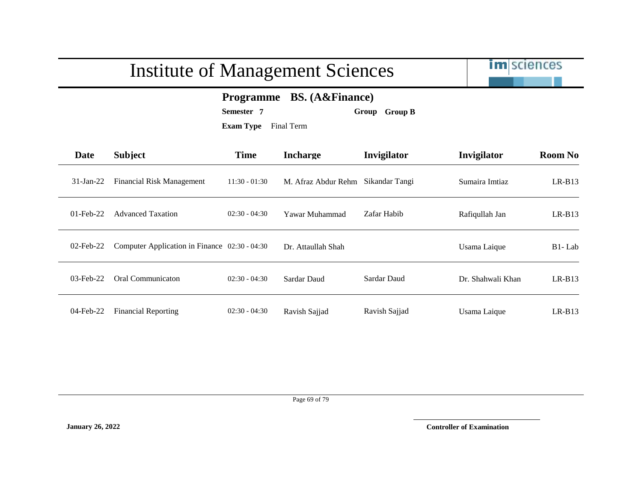|              | <b>Institute of Management Sciences</b>       | <b>im</b> sciences                                 |                                      |                         |                   |                |
|--------------|-----------------------------------------------|----------------------------------------------------|--------------------------------------|-------------------------|-------------------|----------------|
|              |                                               | <b>Programme</b><br>Semester 7<br><b>Exam Type</b> | <b>BS.</b> (A&Finance)<br>Final Term | <b>Group B</b><br>Group |                   |                |
| Date         | <b>Subject</b>                                | <b>Time</b>                                        | <b>Incharge</b>                      | Invigilator             | Invigilator       | <b>Room No</b> |
| $31-Ian-22$  | Financial Risk Management                     | $11:30 - 01:30$                                    | M. Afraz Abdur Rehm                  | Sikandar Tangi          | Sumaira Imtiaz    | $LR-B13$       |
| $01$ -Feb-22 | <b>Advanced Taxation</b>                      | $02:30 - 04:30$                                    | Yawar Muhammad                       | Zafar Habib             | Rafiqullah Jan    | $LR-B13$       |
| $02$ -Feb-22 | Computer Application in Finance 02:30 - 04:30 |                                                    | Dr. Attaullah Shah                   |                         | Usama Laique      | B1-Lab         |
| $03$ -Feb-22 | Oral Communicaton                             | $02:30 - 04:30$                                    | Sardar Daud                          | Sardar Daud             | Dr. Shahwali Khan | $LR-B13$       |

Page 69 of 79

04-Feb-22 Financial Reporting 02:30 - 04:30 Ravish Sajjad Ravish Sajjad Usama Laique LR-B13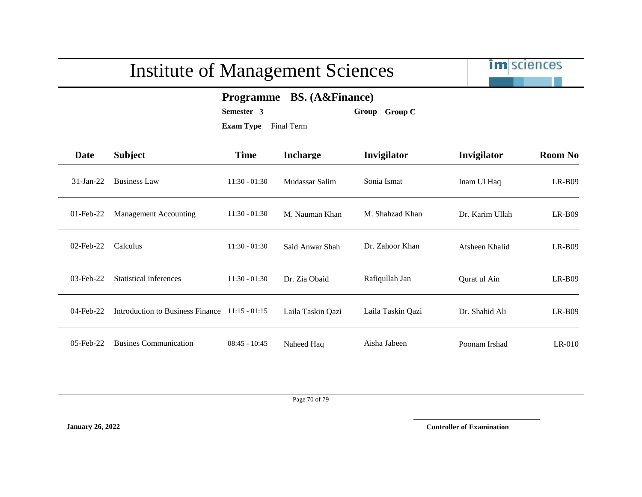

**Programme BS. (A&Finance)**

**Semester 3 Group Group C**

**Exam Type** Final Term

| Date         | <b>Subject</b>                   | <b>Time</b>     | <b>Incharge</b>   | Invigilator       | Invigilator     | <b>Room No</b> |
|--------------|----------------------------------|-----------------|-------------------|-------------------|-----------------|----------------|
| $31$ -Jan-22 | <b>Business Law</b>              | $11:30 - 01:30$ | Mudassar Salim    | Sonia Ismat       | Inam Ul Haq     | $LR-B09$       |
| $01$ -Feb-22 | Management Accounting            | $11:30 - 01:30$ | M. Nauman Khan    | M. Shahzad Khan   | Dr. Karim Ullah | $LR-B09$       |
| $02$ -Feb-22 | Calculus                         | $11:30 - 01:30$ | Said Anwar Shah   | Dr. Zahoor Khan   | Afsheen Khalid  | $LR-B09$       |
| $03$ -Feb-22 | Statistical inferences           | $11:30 - 01:30$ | Dr. Zia Obaid     | Rafiqullah Jan    | Qurat ul Ain    | $LR-B09$       |
| 04-Feb-22    | Introduction to Business Finance | $11:15 - 01:15$ | Laila Taskin Qazi | Laila Taskin Qazi | Dr. Shahid Ali  | $LR-B09$       |
| $05$ -Feb-22 | <b>Busines Communication</b>     | $08:45 - 10:45$ | Naheed Haq        | Aisha Jabeen      | Poonam Irshad   | $LR-010$       |

Page 70 of 79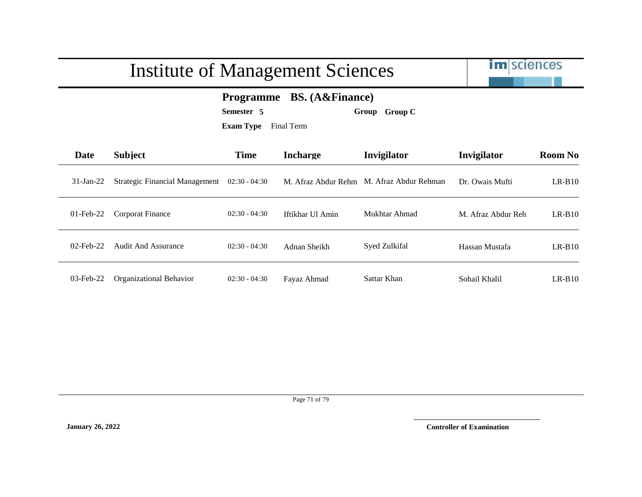|                                                                                                                       | <b>Institute of Management Sciences</b> | <b>im</b> sciences |                     |                       |                    |                |
|-----------------------------------------------------------------------------------------------------------------------|-----------------------------------------|--------------------|---------------------|-----------------------|--------------------|----------------|
| <b>BS.</b> (A&Finance)<br><b>Programme</b><br>Semester 5<br><b>Group C</b><br>Group<br><b>Exam Type</b><br>Final Term |                                         |                    |                     |                       |                    |                |
| <b>Date</b>                                                                                                           | <b>Subject</b>                          | <b>Time</b>        | <b>Incharge</b>     | Invigilator           | Invigilator        | <b>Room No</b> |
| $31-Ian-22$                                                                                                           | <b>Strategic Financial Management</b>   | $02:30 - 04:30$    | M. Afraz Abdur Rehm | M. Afraz Abdur Rehman | Dr. Owais Mufti    | $LR-B10$       |
| $01$ -Feb-22                                                                                                          | <b>Corporat Finance</b>                 | $02:30 - 04:30$    | Iftikhar Ul Amin    | Mukhtar Ahmad         | M. Afraz Abdur Reh | $LR-B10$       |
| $02$ -Feb-22                                                                                                          | <b>Audit And Assurance</b>              | $02:30 - 04:30$    | Adnan Sheikh        | Syed Zulkifal         | Hassan Mustafa     | $LR-B10$       |
| $03$ -Feb-22                                                                                                          | Organizational Behavior                 | $02:30 - 04:30$    | Fayaz Ahmad         | Sattar Khan           | Sohail Khalil      | $LR-B10$       |

Page 71 of 79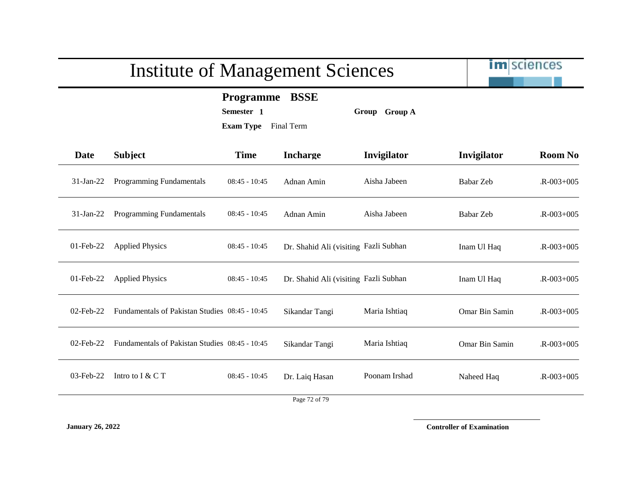im sciences

**Programme BSSE**

**Semester 1 Group Group A**

**Exam Type** Final Term

| Date         | <b>Subject</b>                                 | <b>Time</b>     | <b>Incharge</b>                       | Invigilator   | Invigilator    | <b>Room No</b>  |
|--------------|------------------------------------------------|-----------------|---------------------------------------|---------------|----------------|-----------------|
| $31-Jan-22$  | Programming Fundamentals                       | $08:45 - 10:45$ | Adnan Amin                            | Aisha Jabeen  | Babar Zeb      | $R - 003 + 005$ |
| $31$ -Jan-22 | Programming Fundamentals                       | $08:45 - 10:45$ | Adnan Amin                            | Aisha Jabeen  | Babar Zeb      | $R - 003 + 005$ |
| $01$ -Feb-22 | <b>Applied Physics</b>                         | $08:45 - 10:45$ | Dr. Shahid Ali (visiting Fazli Subhan |               | Inam Ul Haq    | $R - 003 + 005$ |
| $01$ -Feb-22 | <b>Applied Physics</b>                         | $08:45 - 10:45$ | Dr. Shahid Ali (visiting Fazli Subhan |               | Inam Ul Haq    | $R - 003 + 005$ |
| $02$ -Feb-22 | Fundamentals of Pakistan Studies 08:45 - 10:45 |                 | Sikandar Tangi                        | Maria Ishtiaq | Omar Bin Samin | $R - 003 + 005$ |
| 02-Feb-22    | Fundamentals of Pakistan Studies 08:45 - 10:45 |                 | Sikandar Tangi                        | Maria Ishtiaq | Omar Bin Samin | $R - 003 + 005$ |
| $03$ -Feb-22 | Intro to I & C T                               | $08:45 - 10:45$ | Dr. Laiq Hasan                        | Poonam Irshad | Naheed Haq     | $R - 003 + 005$ |
|              |                                                |                 | Page 72 of 79                         |               |                |                 |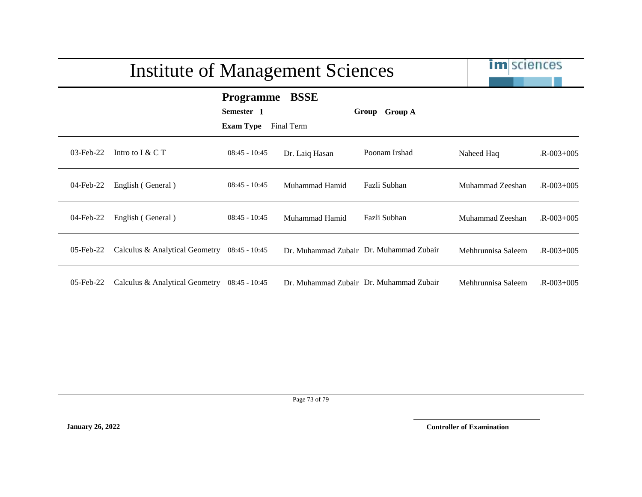|              | Institute of Management Sciences             |                                                    | <b>im</b> sciences        |                                         |                    |                 |
|--------------|----------------------------------------------|----------------------------------------------------|---------------------------|-----------------------------------------|--------------------|-----------------|
|              |                                              | <b>Programme</b><br>Semester 1<br><b>Exam Type</b> | <b>BSSE</b><br>Final Term | Group Group A                           |                    |                 |
| $03$ -Feb-22 | Intro to $I & C T$                           | $08:45 - 10:45$                                    | Dr. Laiq Hasan            | Poonam Irshad                           | Naheed Haq         | $R - 003 + 005$ |
| 04-Feb-22    | English (General)                            | $08:45 - 10:45$                                    | Muhammad Hamid            | Fazli Subhan                            | Muhammad Zeeshan   | $R - 003 + 005$ |
| 04-Feb-22    | English (General)                            | $08:45 - 10:45$                                    | Muhammad Hamid            | Fazli Subhan                            | Muhammad Zeeshan   | $R - 003 + 005$ |
| $05$ -Feb-22 | Calculus & Analytical Geometry 08:45 - 10:45 |                                                    |                           | Dr. Muhammad Zubair Dr. Muhammad Zubair | Mehhrunnisa Saleem | $R - 003 + 005$ |
| $05$ -Feb-22 | Calculus & Analytical Geometry 08:45 - 10:45 |                                                    |                           | Dr. Muhammad Zubair Dr. Muhammad Zubair | Mehhrunnisa Saleem | $R - 003 + 005$ |

Page 73 of 79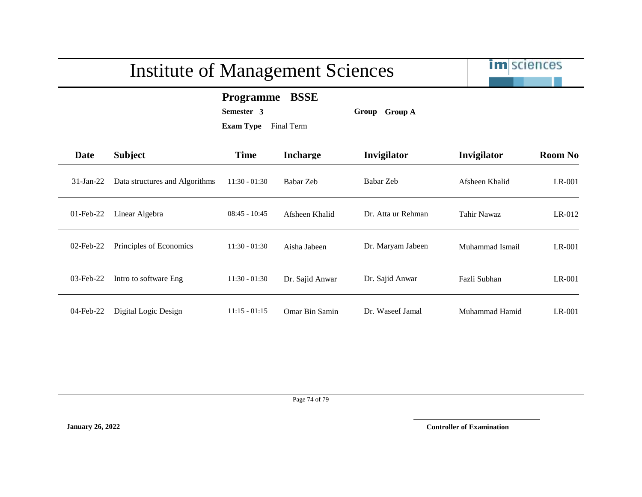|              | <b>Institute of Management Sciences</b> | <b>im</b> sciences                                               |                 |                    |                    |                |
|--------------|-----------------------------------------|------------------------------------------------------------------|-----------------|--------------------|--------------------|----------------|
|              |                                         | <b>Programme</b><br>Semester 3<br><b>Exam Type</b><br>Final Term |                 |                    |                    |                |
| <b>Date</b>  | <b>Subject</b>                          | <b>Time</b>                                                      | <b>Incharge</b> | Invigilator        | Invigilator        | <b>Room No</b> |
| $31-Ian-22$  | Data structures and Algorithms          | $11:30 - 01:30$                                                  | Babar Zeb       | Babar Zeb          | Afsheen Khalid     | LR-001         |
| 01-Feb-22    | Linear Algebra                          | $08:45 - 10:45$                                                  | Afsheen Khalid  | Dr. Atta ur Rehman | <b>Tahir Nawaz</b> | $LR-012$       |
| $02$ -Feb-22 | Principles of Economics                 | $11:30 - 01:30$                                                  | Aisha Jabeen    | Dr. Maryam Jabeen  | Muhammad Ismail    | $LR-001$       |
| 03-Feb-22    | Intro to software Eng                   | $11:30 - 01:30$                                                  | Dr. Sajid Anwar | Dr. Sajid Anwar    | Fazli Subhan       | $LR-001$       |
| $04$ -Feb-22 | Digital Logic Design                    | $11:15 - 01:15$                                                  | Omar Bin Samin  | Dr. Waseef Jamal   | Muhammad Hamid     | $LR-001$       |

Page 74 of 79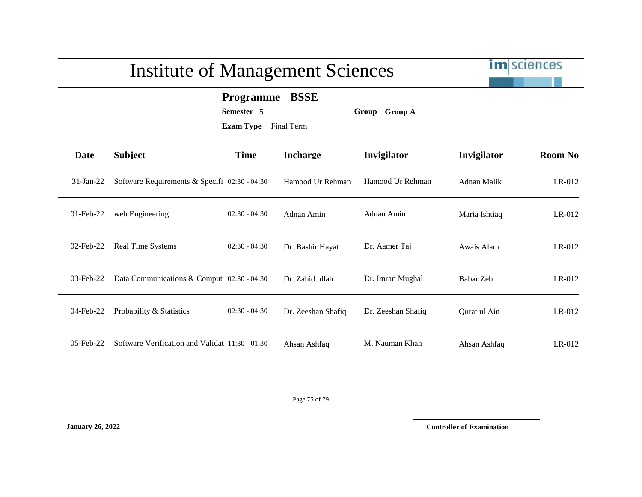## Institute of Management Sciences

im sciences

## **Programme BSSE**

**Semester 5 Group Group A**

**Exam Type** Final Term

| Date         | <b>Subject</b>                                  | <b>Time</b>     | <b>Incharge</b>    | Invigilator        | Invigilator   | <b>Room No</b> |
|--------------|-------------------------------------------------|-----------------|--------------------|--------------------|---------------|----------------|
| $31-Jan-22$  | Software Requirements & Specifi 02:30 - 04:30   |                 | Hamood Ur Rehman   | Hamood Ur Rehman   | Adnan Malik   | $LR-012$       |
| $01$ -Feb-22 | web Engineering                                 | $02:30 - 04:30$ | Adnan Amin         | Adnan Amin         | Maria Ishtiaq | $LR-012$       |
| $02$ -Feb-22 | Real Time Systems                               | $02:30 - 04:30$ | Dr. Bashir Hayat   | Dr. Aamer Taj      | Awais Alam    | $LR-012$       |
| $03$ -Feb-22 | Data Communications & Comput 02:30 - 04:30      |                 | Dr. Zahid ullah    | Dr. Imran Mughal   | Babar Zeb     | $LR-012$       |
| 04-Feb-22    | Probability & Statistics                        | $02:30 - 04:30$ | Dr. Zeeshan Shafiq | Dr. Zeeshan Shafiq | Ourat ul Ain  | $LR-012$       |
| $05$ -Feb-22 | Software Verification and Validat 11:30 - 01:30 |                 | Ahsan Ashfaq       | M. Nauman Khan     | Ahsan Ashfaq  | $LR-012$       |

Page 75 of 79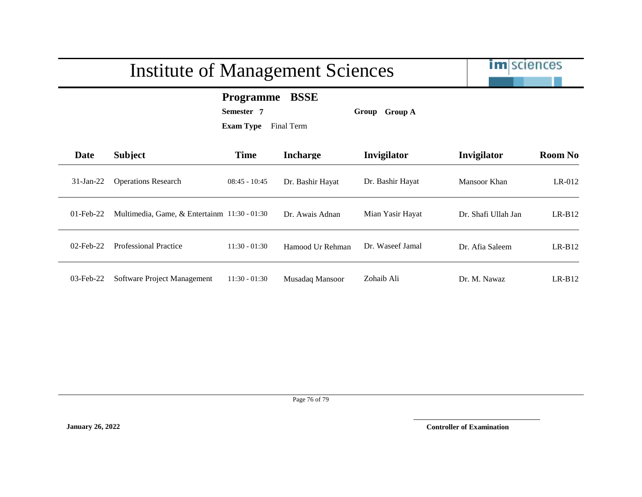|              | <b>Institute of Management Sciences</b>      | <b>im</b> sciences                                 |                           |                         |                     |                |  |  |
|--------------|----------------------------------------------|----------------------------------------------------|---------------------------|-------------------------|---------------------|----------------|--|--|
|              |                                              | <b>Programme</b><br>Semester 7<br><b>Exam Type</b> | <b>BSSE</b><br>Final Term | <b>Group A</b><br>Group |                     |                |  |  |
| Date         | <b>Subject</b>                               | <b>Time</b>                                        | <b>Incharge</b>           | Invigilator             | Invigilator         | <b>Room No</b> |  |  |
| $31$ -Jan-22 | <b>Operations Research</b>                   | $08:45 - 10:45$                                    | Dr. Bashir Hayat          | Dr. Bashir Hayat        | Mansoor Khan        | LR-012         |  |  |
| $01$ -Feb-22 | Multimedia, Game, & Entertainm 11:30 - 01:30 |                                                    | Dr. Awais Adnan           | Mian Yasir Hayat        | Dr. Shafi Ullah Jan | $LR-B12$       |  |  |
| $02$ -Feb-22 | <b>Professional Practice</b>                 | $11:30 - 01:30$                                    | Hamood Ur Rehman          | Dr. Waseef Jamal        | Dr. Afia Saleem     | $LR-B12$       |  |  |
| $03$ -Feb-22 | Software Project Management                  | $11:30 - 01:30$                                    | Musadaq Mansoor           | Zohaib Ali              | Dr. M. Nawaz        | $LR-B12$       |  |  |

Page 76 of 79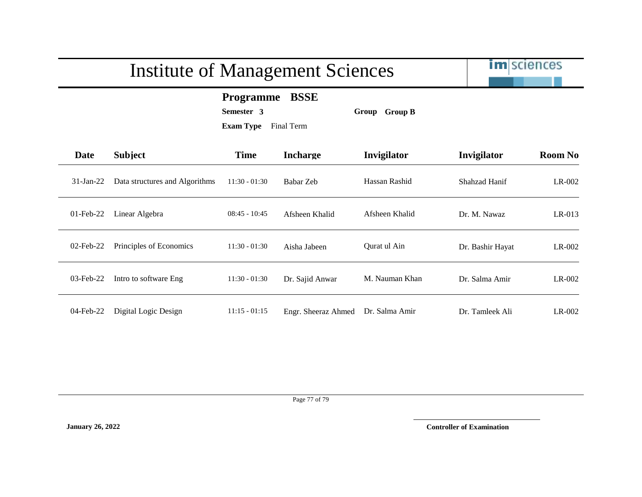|              | <b>Institute of Management Sciences</b> |                                                    |                           | <b>im</b> sciences |                  |                |
|--------------|-----------------------------------------|----------------------------------------------------|---------------------------|--------------------|------------------|----------------|
|              |                                         | <b>Programme</b><br>Semester 3<br><b>Exam Type</b> | <b>BSSE</b><br>Final Term | Group Group B      |                  |                |
| <b>Date</b>  | <b>Subject</b>                          | <b>Time</b>                                        | <b>Incharge</b>           | Invigilator        | Invigilator      | <b>Room No</b> |
| $31$ -Jan-22 | Data structures and Algorithms          | $11:30 - 01:30$                                    | Babar Zeb                 | Hassan Rashid      | Shahzad Hanif    | LR-002         |
| $01$ -Feb-22 | Linear Algebra                          | $08:45 - 10:45$                                    | Afsheen Khalid            | Afsheen Khalid     | Dr. M. Nawaz     | $LR-013$       |
| 02-Feb-22    | Principles of Economics                 | $11:30 - 01:30$                                    | Aisha Jabeen              | Qurat ul Ain       | Dr. Bashir Hayat | $LR-002$       |
| 03-Feb-22    | Intro to software Eng                   | $11:30 - 01:30$                                    | Dr. Sajid Anwar           | M. Nauman Khan     | Dr. Salma Amir   | $LR-002$       |
| 04-Feb-22    | Digital Logic Design                    | $11:15 - 01:15$                                    | Engr. Sheeraz Ahmed       | Dr. Salma Amir     | Dr. Tamleek Ali  | $LR-002$       |

Page 77 of 79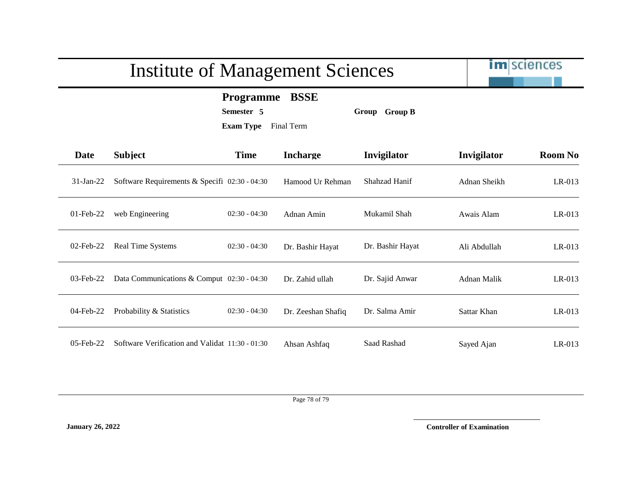## Institute of Management Sciences

im sciences

## **Programme BSSE**

**Semester 5 Group Group B**

**Exam Type** Final Term

| <b>Date</b>  | <b>Subject</b>                                  | <b>Time</b>     | <b>Incharge</b>    | Invigilator      | Invigilator  | <b>Room No</b> |
|--------------|-------------------------------------------------|-----------------|--------------------|------------------|--------------|----------------|
| $31$ -Jan-22 | Software Requirements & Specifi 02:30 - 04:30   |                 | Hamood Ur Rehman   | Shahzad Hanif    | Adnan Sheikh | $LR-013$       |
| $01$ -Feb-22 | web Engineering                                 | $02:30 - 04:30$ | Adnan Amin         | Mukamil Shah     | Awais Alam   | $LR-013$       |
| 02-Feb-22    | Real Time Systems                               | $02:30 - 04:30$ | Dr. Bashir Hayat   | Dr. Bashir Hayat | Ali Abdullah | $LR-013$       |
| $03$ -Feb-22 | Data Communications & Comput $02:30 - 04:30$    |                 | Dr. Zahid ullah    | Dr. Sajid Anwar  | Adnan Malik  | $LR-013$       |
| 04-Feb-22    | Probability & Statistics                        | $02:30 - 04:30$ | Dr. Zeeshan Shafiq | Dr. Salma Amir   | Sattar Khan  | $LR-013$       |
| $05$ -Feb-22 | Software Verification and Validat 11:30 - 01:30 |                 | Ahsan Ashfaq       | Saad Rashad      | Sayed Ajan   | $LR-013$       |

Page 78 of 79